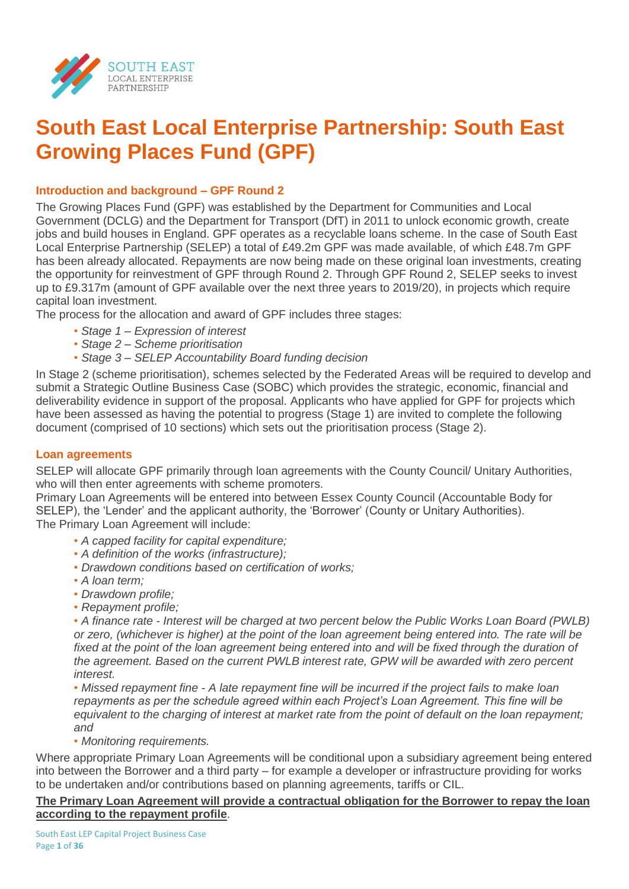

# **South East Local Enterprise Partnership: South East Growing Places Fund (GPF)**

# **Introduction and background – GPF Round 2**

The Growing Places Fund (GPF) was established by the Department for Communities and Local Government (DCLG) and the Department for Transport (DfT) in 2011 to unlock economic growth, create jobs and build houses in England. GPF operates as a recyclable loans scheme. In the case of South East Local Enterprise Partnership (SELEP) a total of £49.2m GPF was made available, of which £48.7m GPF has been already allocated. Repayments are now being made on these original loan investments, creating the opportunity for reinvestment of GPF through Round 2. Through GPF Round 2, SELEP seeks to invest up to £9.317m (amount of GPF available over the next three years to 2019/20), in projects which require capital loan investment.

The process for the allocation and award of GPF includes three stages:

- *Stage 1 – Expression of interest*
- *• Stage 2 – Scheme prioritisation*
- *• Stage 3 – SELEP Accountability Board funding decision*

In Stage 2 (scheme prioritisation), schemes selected by the Federated Areas will be required to develop and submit a Strategic Outline Business Case (SOBC) which provides the strategic, economic, financial and deliverability evidence in support of the proposal. Applicants who have applied for GPF for projects which have been assessed as having the potential to progress (Stage 1) are invited to complete the following document (comprised of 10 sections) which sets out the prioritisation process (Stage 2).

# **Loan agreements**

SELEP will allocate GPF primarily through loan agreements with the County Council/ Unitary Authorities, who will then enter agreements with scheme promoters.

Primary Loan Agreements will be entered into between Essex County Council (Accountable Body for SELEP), the 'Lender' and the applicant authority, the 'Borrower' (County or Unitary Authorities). The Primary Loan Agreement will include:

- *• A capped facility for capital expenditure;*
- *• A definition of the works (infrastructure);*
- *• Drawdown conditions based on certification of works;*
- *• A loan term;*
- *• Drawdown profile;*
- *• Repayment profile;*

*• A finance rate - Interest will be charged at two percent below the Public Works Loan Board (PWLB) or zero, (whichever is higher) at the point of the loan agreement being entered into. The rate will be*  fixed at the point of the loan agreement being entered into and will be fixed through the duration of *the agreement. Based on the current PWLB interest rate, GPW will be awarded with zero percent interest.* 

*• Missed repayment fine - A late repayment fine will be incurred if the project fails to make loan repayments as per the schedule agreed within each Project's Loan Agreement. This fine will be equivalent to the charging of interest at market rate from the point of default on the loan repayment; and*

*• Monitoring requirements.*

Where appropriate Primary Loan Agreements will be conditional upon a subsidiary agreement being entered into between the Borrower and a third party – for example a developer or infrastructure providing for works to be undertaken and/or contributions based on planning agreements, tariffs or CIL.

# **The Primary Loan Agreement will provide a contractual obligation for the Borrower to repay the loan according to the repayment profile**.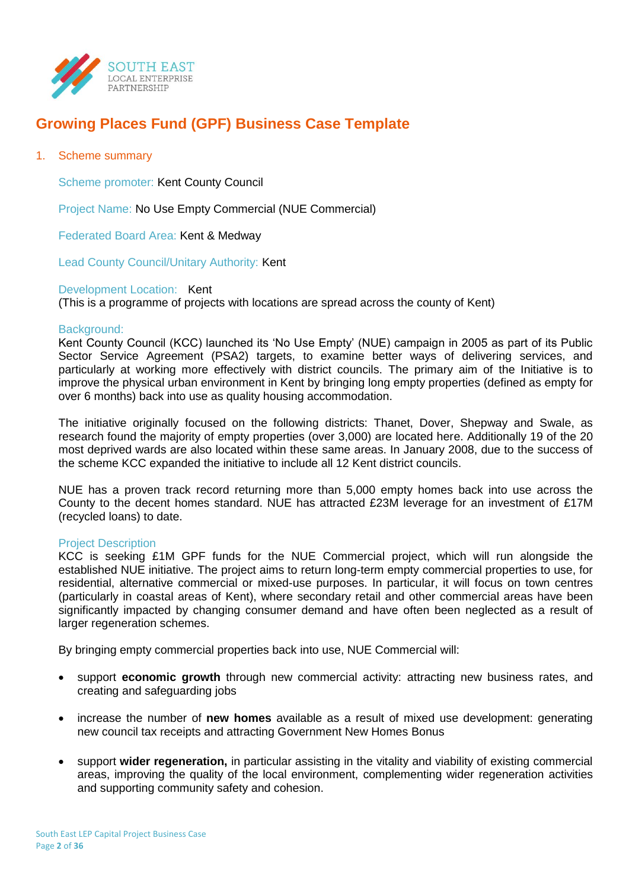

# **Growing Places Fund (GPF) Business Case Template**

# 1. Scheme summary

Scheme promoter: Kent County Council

Project Name: No Use Empty Commercial (NUE Commercial)

Federated Board Area: Kent & Medway

Lead County Council/Unitary Authority: Kent

#### Development Location: Kent

(This is a programme of projects with locations are spread across the county of Kent)

#### Background:

Kent County Council (KCC) launched its 'No Use Empty' (NUE) campaign in 2005 as part of its Public Sector Service Agreement (PSA2) targets, to examine better ways of delivering services, and particularly at working more effectively with district councils. The primary aim of the Initiative is to improve the physical urban environment in Kent by bringing long empty properties (defined as empty for over 6 months) back into use as quality housing accommodation.

The initiative originally focused on the following districts: Thanet, Dover, Shepway and Swale, as research found the majority of empty properties (over 3,000) are located here. Additionally 19 of the 20 most deprived wards are also located within these same areas. In January 2008, due to the success of the scheme KCC expanded the initiative to include all 12 Kent district councils.

NUE has a proven track record returning more than 5,000 empty homes back into use across the County to the decent homes standard. NUE has attracted £23M leverage for an investment of £17M (recycled loans) to date.

#### Project Description

KCC is seeking £1M GPF funds for the NUE Commercial project, which will run alongside the established NUE initiative. The project aims to return long-term empty commercial properties to use, for residential, alternative commercial or mixed-use purposes. In particular, it will focus on town centres (particularly in coastal areas of Kent), where secondary retail and other commercial areas have been significantly impacted by changing consumer demand and have often been neglected as a result of larger regeneration schemes.

By bringing empty commercial properties back into use, NUE Commercial will:

- support **economic growth** through new commercial activity: attracting new business rates, and creating and safeguarding jobs
- increase the number of **new homes** available as a result of mixed use development: generating new council tax receipts and attracting Government New Homes Bonus
- support **wider regeneration,** in particular assisting in the vitality and viability of existing commercial areas, improving the quality of the local environment, complementing wider regeneration activities and supporting community safety and cohesion.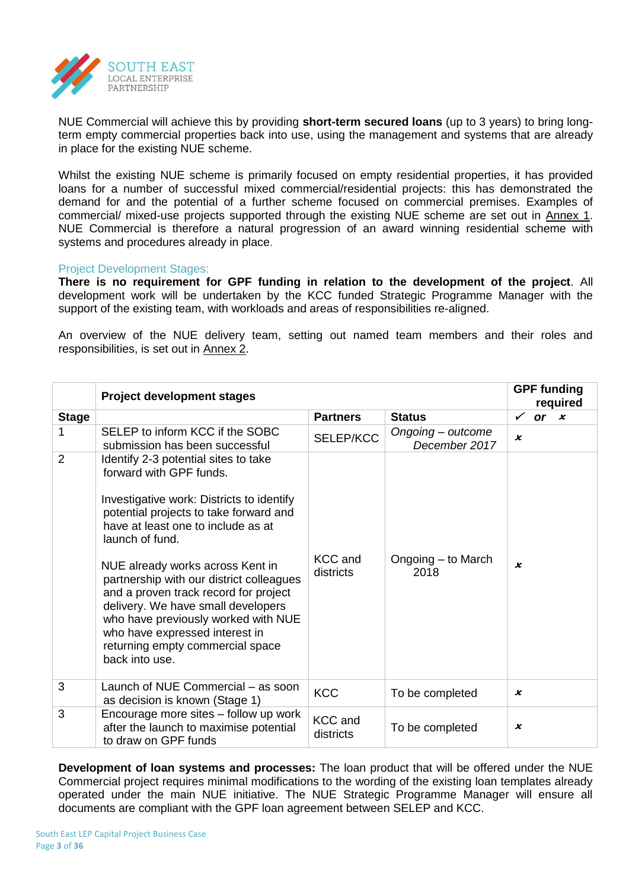

NUE Commercial will achieve this by providing **short-term secured loans** (up to 3 years) to bring longterm empty commercial properties back into use, using the management and systems that are already in place for the existing NUE scheme.

Whilst the existing NUE scheme is primarily focused on empty residential properties, it has provided loans for a number of successful mixed commercial/residential projects: this has demonstrated the demand for and the potential of a further scheme focused on commercial premises. Examples of commercial/ mixed-use projects supported through the existing NUE scheme are set out in Annex 1. NUE Commercial is therefore a natural progression of an award winning residential scheme with systems and procedures already in place.

#### Project Development Stages:

**There is no requirement for GPF funding in relation to the development of the project**. All development work will be undertaken by the KCC funded Strategic Programme Manager with the support of the existing team, with workloads and areas of responsibilities re-aligned.

An overview of the NUE delivery team, setting out named team members and their roles and responsibilities, is set out in Annex 2.

|                | <b>Project development stages</b>                                                                                                                                                                                                                                                                                                                                                                                                                                                                             |                             |                                    | <b>GPF funding</b><br>required |
|----------------|---------------------------------------------------------------------------------------------------------------------------------------------------------------------------------------------------------------------------------------------------------------------------------------------------------------------------------------------------------------------------------------------------------------------------------------------------------------------------------------------------------------|-----------------------------|------------------------------------|--------------------------------|
| <b>Stage</b>   |                                                                                                                                                                                                                                                                                                                                                                                                                                                                                                               | <b>Partners</b>             | <b>Status</b>                      | $\checkmark$<br>or $x$         |
| 1              | SELEP to inform KCC if the SOBC<br>submission has been successful                                                                                                                                                                                                                                                                                                                                                                                                                                             | <b>SELEP/KCC</b>            | Ongoing – outcome<br>December 2017 | $\boldsymbol{\mathsf{x}}$      |
| $\overline{2}$ | Identify 2-3 potential sites to take<br>forward with GPF funds.<br>Investigative work: Districts to identify<br>potential projects to take forward and<br>have at least one to include as at<br>launch of fund.<br>NUE already works across Kent in<br>partnership with our district colleagues<br>and a proven track record for project<br>delivery. We have small developers<br>who have previously worked with NUE<br>who have expressed interest in<br>returning empty commercial space<br>back into use. | <b>KCC</b> and<br>districts | Ongoing - to March<br>2018         | x                              |
| 3              | Launch of NUE Commercial – as soon<br>as decision is known (Stage 1)                                                                                                                                                                                                                                                                                                                                                                                                                                          | <b>KCC</b>                  | To be completed                    | x                              |
| 3              | Encourage more sites - follow up work<br>after the launch to maximise potential<br>to draw on GPF funds                                                                                                                                                                                                                                                                                                                                                                                                       | <b>KCC</b> and<br>districts | To be completed                    | x                              |

**Development of loan systems and processes:** The loan product that will be offered under the NUE Commercial project requires minimal modifications to the wording of the existing loan templates already operated under the main NUE initiative. The NUE Strategic Programme Manager will ensure all documents are compliant with the GPF loan agreement between SELEP and KCC.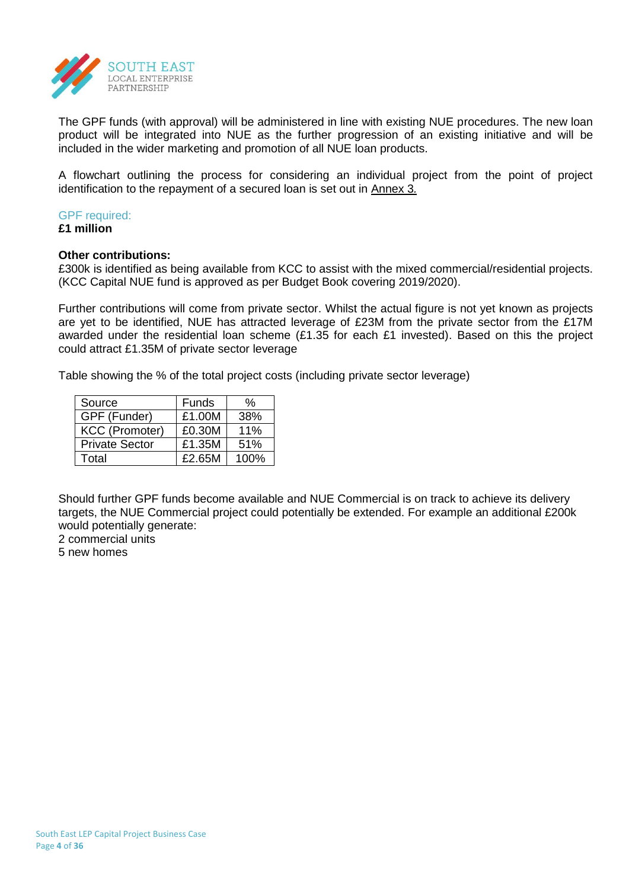

The GPF funds (with approval) will be administered in line with existing NUE procedures. The new loan product will be integrated into NUE as the further progression of an existing initiative and will be included in the wider marketing and promotion of all NUE loan products.

A flowchart outlining the process for considering an individual project from the point of project identification to the repayment of a secured loan is set out in Annex 3*.*

# GPF required:

**£1 million**

#### **Other contributions:**

£300k is identified as being available from KCC to assist with the mixed commercial/residential projects. (KCC Capital NUE fund is approved as per Budget Book covering 2019/2020).

Further contributions will come from private sector. Whilst the actual figure is not yet known as projects are yet to be identified, NUE has attracted leverage of £23M from the private sector from the £17M awarded under the residential loan scheme (£1.35 for each £1 invested). Based on this the project could attract £1.35M of private sector leverage

Table showing the % of the total project costs (including private sector leverage)

| Source                | Funds  | %    |
|-----------------------|--------|------|
| GPF (Funder)          | £1.00M | 38%  |
| <b>KCC (Promoter)</b> | £0.30M | 11%  |
| <b>Private Sector</b> | £1.35M | 51%  |
| Total                 | £2.65M | 100% |

Should further GPF funds become available and NUE Commercial is on track to achieve its delivery targets, the NUE Commercial project could potentially be extended. For example an additional £200k would potentially generate:

2 commercial units

5 new homes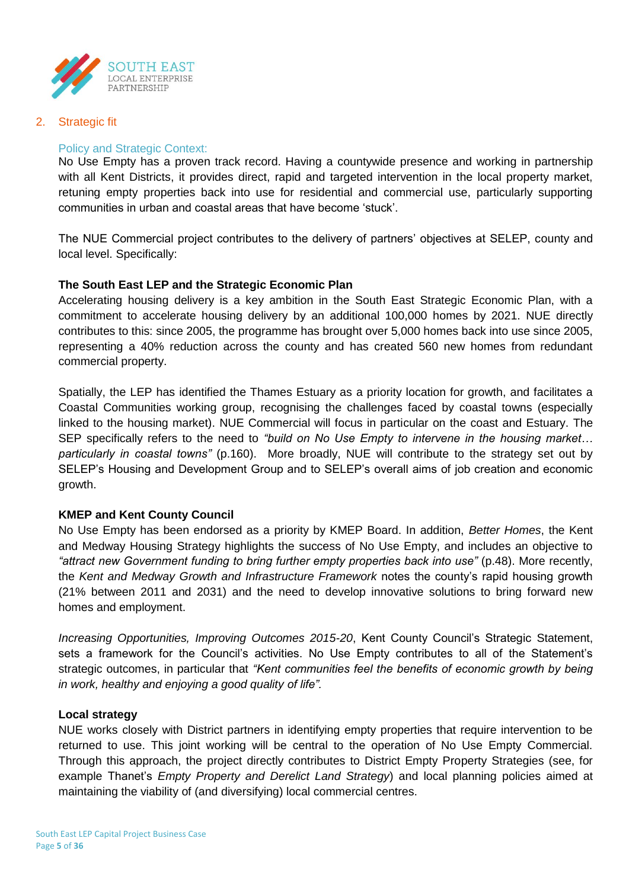

2. Strategic fit

# Policy and Strategic Context:

No Use Empty has a proven track record. Having a countywide presence and working in partnership with all Kent Districts, it provides direct, rapid and targeted intervention in the local property market, retuning empty properties back into use for residential and commercial use, particularly supporting communities in urban and coastal areas that have become 'stuck'.

The NUE Commercial project contributes to the delivery of partners' objectives at SELEP, county and local level. Specifically:

# **The South East LEP and the Strategic Economic Plan**

Accelerating housing delivery is a key ambition in the South East Strategic Economic Plan, with a commitment to accelerate housing delivery by an additional 100,000 homes by 2021. NUE directly contributes to this: since 2005, the programme has brought over 5,000 homes back into use since 2005, representing a 40% reduction across the county and has created 560 new homes from redundant commercial property.

Spatially, the LEP has identified the Thames Estuary as a priority location for growth, and facilitates a Coastal Communities working group, recognising the challenges faced by coastal towns (especially linked to the housing market). NUE Commercial will focus in particular on the coast and Estuary. The SEP specifically refers to the need to *"build on No Use Empty to intervene in the housing market… particularly in coastal towns"* (p.160). More broadly, NUE will contribute to the strategy set out by SELEP's Housing and Development Group and to SELEP's overall aims of job creation and economic growth.

#### **KMEP and Kent County Council**

No Use Empty has been endorsed as a priority by KMEP Board. In addition, *Better Homes*, the Kent and Medway Housing Strategy highlights the success of No Use Empty, and includes an objective to "attract new Government funding to bring further empty properties back into use" (p.48). More recently, the *Kent and Medway Growth and Infrastructure Framework* notes the county's rapid housing growth (21% between 2011 and 2031) and the need to develop innovative solutions to bring forward new homes and employment.

*Increasing Opportunities, Improving Outcomes 2015-20*, Kent County Council's Strategic Statement, sets a framework for the Council's activities. No Use Empty contributes to all of the Statement's strategic outcomes, in particular that *"Kent communities feel the benefits of economic growth by being in work, healthy and enjoying a good quality of life".* 

#### **Local strategy**

NUE works closely with District partners in identifying empty properties that require intervention to be returned to use. This joint working will be central to the operation of No Use Empty Commercial. Through this approach, the project directly contributes to District Empty Property Strategies (see, for example Thanet's *Empty Property and Derelict Land Strategy*) and local planning policies aimed at maintaining the viability of (and diversifying) local commercial centres.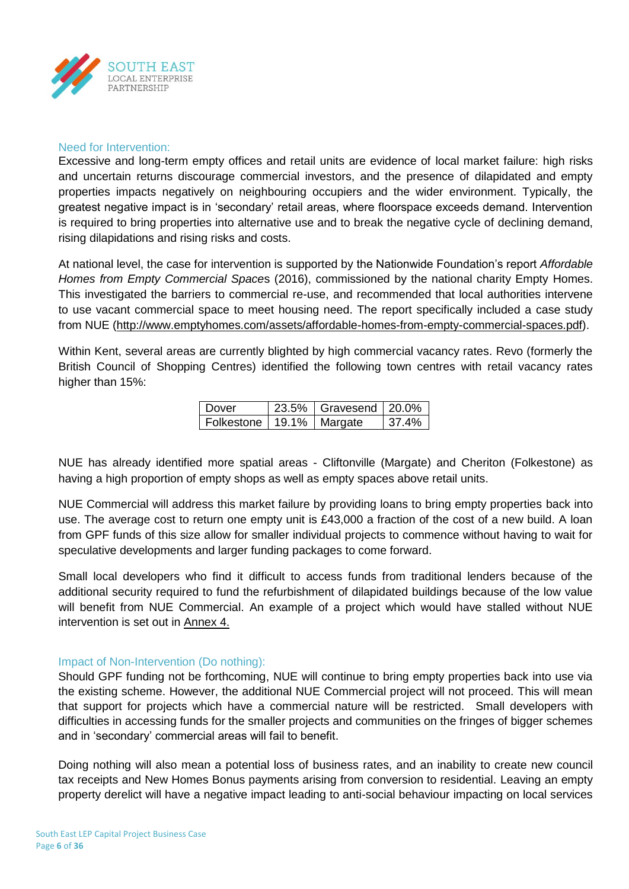

#### Need for Intervention:

Excessive and long-term empty offices and retail units are evidence of local market failure: high risks and uncertain returns discourage commercial investors, and the presence of dilapidated and empty properties impacts negatively on neighbouring occupiers and the wider environment. Typically, the greatest negative impact is in 'secondary' retail areas, where floorspace exceeds demand. Intervention is required to bring properties into alternative use and to break the negative cycle of declining demand, rising dilapidations and rising risks and costs.

At national level, the case for intervention is supported by the Nationwide Foundation's report *Affordable Homes from Empty Commercial Space*s (2016), commissioned by the national charity Empty Homes. This investigated the barriers to commercial re-use, and recommended that local authorities intervene to use vacant commercial space to meet housing need. The report specifically included a case study from NUE [\(http://www.emptyhomes.com/assets/affordable-homes-from-empty-commercial-spaces.pdf\)](http://www.emptyhomes.com/assets/affordable-homes-from-empty-commercial-spaces.pdf).

Within Kent, several areas are currently blighted by high commercial vacancy rates. Revo (formerly the British Council of Shopping Centres) identified the following town centres with retail vacancy rates higher than 15%:

| Dover                        | 23.5% Gravesend 20.0% |          |
|------------------------------|-----------------------|----------|
| Folkestone   19.1%   Margate |                       | $37.4\%$ |

NUE has already identified more spatial areas - Cliftonville (Margate) and Cheriton (Folkestone) as having a high proportion of empty shops as well as empty spaces above retail units.

NUE Commercial will address this market failure by providing loans to bring empty properties back into use. The average cost to return one empty unit is £43,000 a fraction of the cost of a new build. A loan from GPF funds of this size allow for smaller individual projects to commence without having to wait for speculative developments and larger funding packages to come forward.

Small local developers who find it difficult to access funds from traditional lenders because of the additional security required to fund the refurbishment of dilapidated buildings because of the low value will benefit from NUE Commercial. An example of a project which would have stalled without NUE intervention is set out in Annex 4.

# Impact of Non-Intervention (Do nothing):

Should GPF funding not be forthcoming, NUE will continue to bring empty properties back into use via the existing scheme. However, the additional NUE Commercial project will not proceed. This will mean that support for projects which have a commercial nature will be restricted. Small developers with difficulties in accessing funds for the smaller projects and communities on the fringes of bigger schemes and in 'secondary' commercial areas will fail to benefit.

Doing nothing will also mean a potential loss of business rates, and an inability to create new council tax receipts and New Homes Bonus payments arising from conversion to residential. Leaving an empty property derelict will have a negative impact leading to anti-social behaviour impacting on local services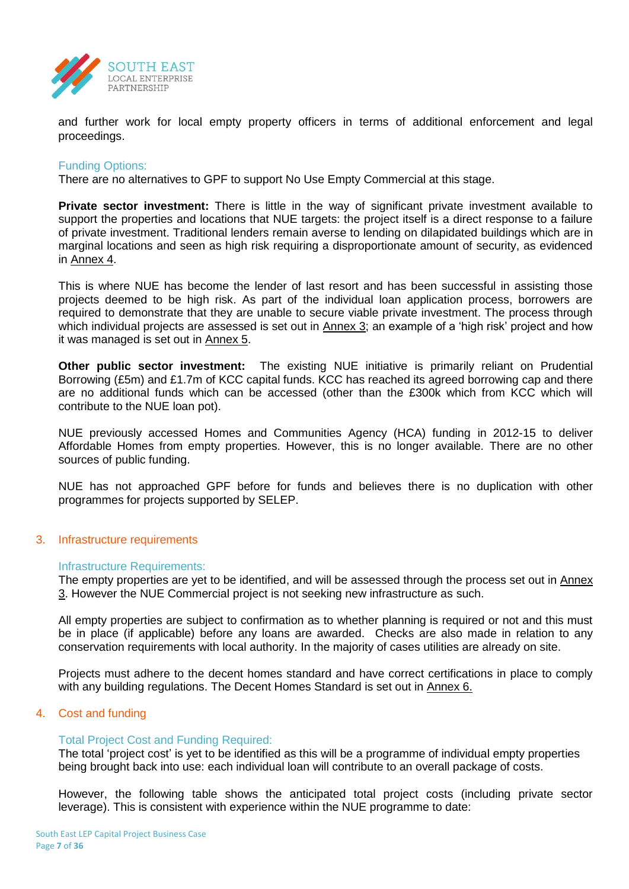

and further work for local empty property officers in terms of additional enforcement and legal proceedings.

# Funding Options:

There are no alternatives to GPF to support No Use Empty Commercial at this stage.

**Private sector investment:** There is little in the way of significant private investment available to support the properties and locations that NUE targets: the project itself is a direct response to a failure of private investment. Traditional lenders remain averse to lending on dilapidated buildings which are in marginal locations and seen as high risk requiring a disproportionate amount of security, as evidenced in Annex 4.

This is where NUE has become the lender of last resort and has been successful in assisting those projects deemed to be high risk. As part of the individual loan application process, borrowers are required to demonstrate that they are unable to secure viable private investment. The process through which individual projects are assessed is set out in Annex 3; an example of a 'high risk' project and how it was managed is set out in Annex 5.

**Other public sector investment:** The existing NUE initiative is primarily reliant on Prudential Borrowing (£5m) and £1.7m of KCC capital funds. KCC has reached its agreed borrowing cap and there are no additional funds which can be accessed (other than the £300k which from KCC which will contribute to the NUE loan pot).

NUE previously accessed Homes and Communities Agency (HCA) funding in 2012-15 to deliver Affordable Homes from empty properties. However, this is no longer available. There are no other sources of public funding.

NUE has not approached GPF before for funds and believes there is no duplication with other programmes for projects supported by SELEP.

#### 3. Infrastructure requirements

#### Infrastructure Requirements:

The empty properties are yet to be identified, and will be assessed through the process set out in Annex 3. However the NUE Commercial project is not seeking new infrastructure as such.

All empty properties are subject to confirmation as to whether planning is required or not and this must be in place (if applicable) before any loans are awarded. Checks are also made in relation to any conservation requirements with local authority. In the majority of cases utilities are already on site.

Projects must adhere to the decent homes standard and have correct certifications in place to comply with any building regulations. The Decent Homes Standard is set out in Annex 6.

#### 4. Cost and funding

#### Total Project Cost and Funding Required:

The total 'project cost' is yet to be identified as this will be a programme of individual empty properties being brought back into use: each individual loan will contribute to an overall package of costs.

However, the following table shows the anticipated total project costs (including private sector leverage). This is consistent with experience within the NUE programme to date: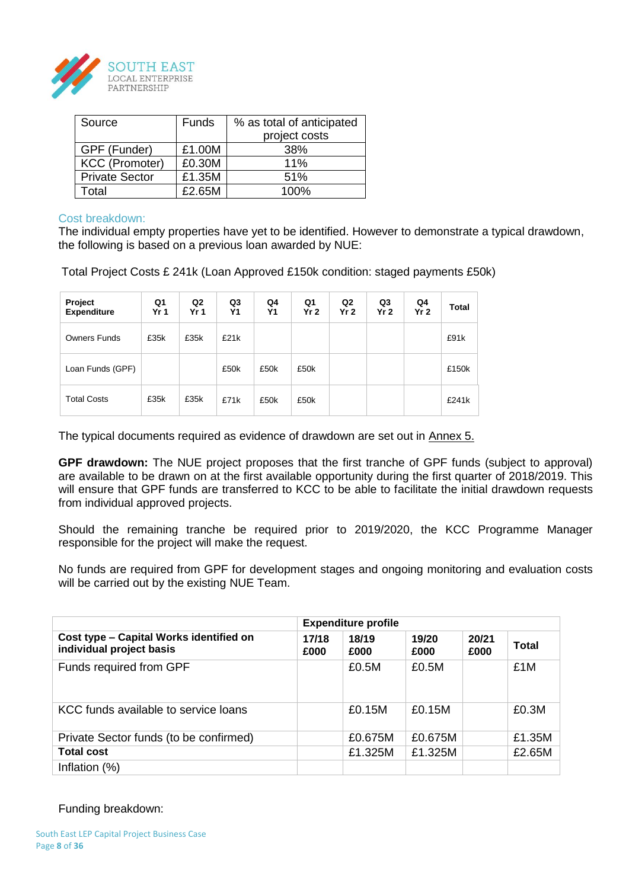

| Source                | Funds  | % as total of anticipated |  |  |  |  |
|-----------------------|--------|---------------------------|--|--|--|--|
|                       |        | project costs             |  |  |  |  |
| GPF (Funder)          | £1.00M | 38%                       |  |  |  |  |
| <b>KCC (Promoter)</b> | £0.30M | 11%                       |  |  |  |  |
| <b>Private Sector</b> | £1.35M | 51%                       |  |  |  |  |
| Total                 | £2.65M | 100%                      |  |  |  |  |

#### Cost breakdown:

The individual empty properties have yet to be identified. However to demonstrate a typical drawdown, the following is based on a previous loan awarded by NUE:

Total Project Costs £ 241k (Loan Approved £150k condition: staged payments £50k)

| Project<br><b>Expenditure</b> | Q1<br>Yr <sub>1</sub> | Q2<br>Yr <sub>1</sub> | Q3<br><b>Y1</b> | Q4<br>Υ1 | Q1<br>Yr <sub>2</sub> | Q2<br>Yr <sub>2</sub> | Q3<br>Yr <sub>2</sub> | Q4<br>Yr <sub>2</sub> | Total |
|-------------------------------|-----------------------|-----------------------|-----------------|----------|-----------------------|-----------------------|-----------------------|-----------------------|-------|
| Owners Funds                  | £35k                  | £35k                  | £21k            |          |                       |                       |                       |                       | £91k  |
| Loan Funds (GPF)              |                       |                       | £50k            | £50k     | £50k                  |                       |                       |                       | £150k |
| <b>Total Costs</b>            | £35k                  | £35k                  | £71k            | £50k     | £50k                  |                       |                       |                       | £241k |

The typical documents required as evidence of drawdown are set out in Annex 5.

**GPF drawdown:** The NUE project proposes that the first tranche of GPF funds (subject to approval) are available to be drawn on at the first available opportunity during the first quarter of 2018/2019. This will ensure that GPF funds are transferred to KCC to be able to facilitate the initial drawdown requests from individual approved projects.

Should the remaining tranche be required prior to 2019/2020, the KCC Programme Manager responsible for the project will make the request.

No funds are required from GPF for development stages and ongoing monitoring and evaluation costs will be carried out by the existing NUE Team.

|                                                                     |               | <b>Expenditure profile</b> |               |               |        |
|---------------------------------------------------------------------|---------------|----------------------------|---------------|---------------|--------|
| Cost type - Capital Works identified on<br>individual project basis | 17/18<br>£000 | 18/19<br>£000              | 19/20<br>£000 | 20/21<br>£000 | Total  |
| Funds required from GPF                                             |               | £0.5M                      | £0.5M         |               | £1M    |
| KCC funds available to service loans                                |               | £0.15M                     | £0.15M        |               | £0.3M  |
| Private Sector funds (to be confirmed)                              |               | £0.675M                    | £0.675M       |               | £1.35M |
| <b>Total cost</b>                                                   |               | £1.325M                    | £1.325M       |               | £2.65M |
| Inflation (%)                                                       |               |                            |               |               |        |

# Funding breakdown: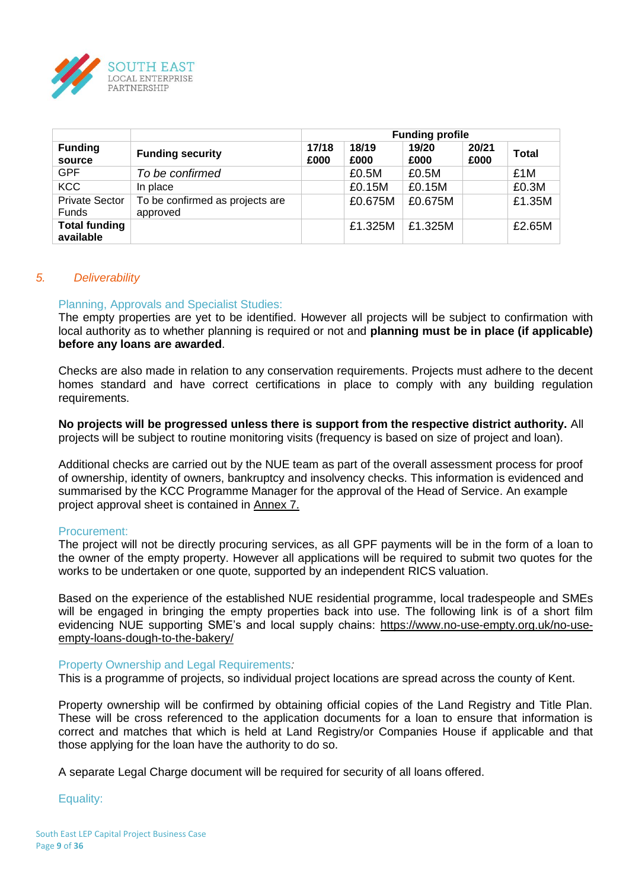

|                                       |                                             | <b>Funding profile</b> |               |               |               |              |  |  |  |
|---------------------------------------|---------------------------------------------|------------------------|---------------|---------------|---------------|--------------|--|--|--|
| <b>Funding</b><br>source              | <b>Funding security</b>                     | 17/18<br>£000          | 18/19<br>£000 | 19/20<br>£000 | 20/21<br>£000 | <b>Total</b> |  |  |  |
| GPF                                   | To be confirmed                             |                        | £0.5M         | £0.5M         |               | £1M          |  |  |  |
| <b>KCC</b>                            | In place                                    |                        | £0.15M        | £0.15M        |               | £0.3M        |  |  |  |
| <b>Private Sector</b><br><b>Funds</b> | To be confirmed as projects are<br>approved |                        | £0.675M       | £0.675M       |               | £1.35M       |  |  |  |
| <b>Total funding</b><br>available     |                                             |                        | £1.325M       | £1.325M       |               | £2.65M       |  |  |  |

# *5. Deliverability*

# Planning, Approvals and Specialist Studies:

The empty properties are yet to be identified. However all projects will be subject to confirmation with local authority as to whether planning is required or not and **planning must be in place (if applicable) before any loans are awarded**.

Checks are also made in relation to any conservation requirements. Projects must adhere to the decent homes standard and have correct certifications in place to comply with any building regulation requirements.

**No projects will be progressed unless there is support from the respective district authority.** All projects will be subject to routine monitoring visits (frequency is based on size of project and loan).

Additional checks are carried out by the NUE team as part of the overall assessment process for proof of ownership, identity of owners, bankruptcy and insolvency checks. This information is evidenced and summarised by the KCC Programme Manager for the approval of the Head of Service. An example project approval sheet is contained in Annex 7.

#### Procurement:

The project will not be directly procuring services, as all GPF payments will be in the form of a loan to the owner of the empty property. However all applications will be required to submit two quotes for the works to be undertaken or one quote, supported by an independent RICS valuation.

Based on the experience of the established NUE residential programme, local tradespeople and SMEs will be engaged in bringing the empty properties back into use. The following link is of a short film evidencing NUE supporting SME's and local supply chains: [https://www.no-use-empty.org.uk/no-use](https://www.no-use-empty.org.uk/no-use-empty-loans-dough-to-the-bakery/)[empty-loans-dough-to-the-bakery/](https://www.no-use-empty.org.uk/no-use-empty-loans-dough-to-the-bakery/)

#### Property Ownership and Legal Requirements*:*

This is a programme of projects, so individual project locations are spread across the county of Kent.

Property ownership will be confirmed by obtaining official copies of the Land Registry and Title Plan. These will be cross referenced to the application documents for a loan to ensure that information is correct and matches that which is held at Land Registry/or Companies House if applicable and that those applying for the loan have the authority to do so.

A separate Legal Charge document will be required for security of all loans offered.

Equality: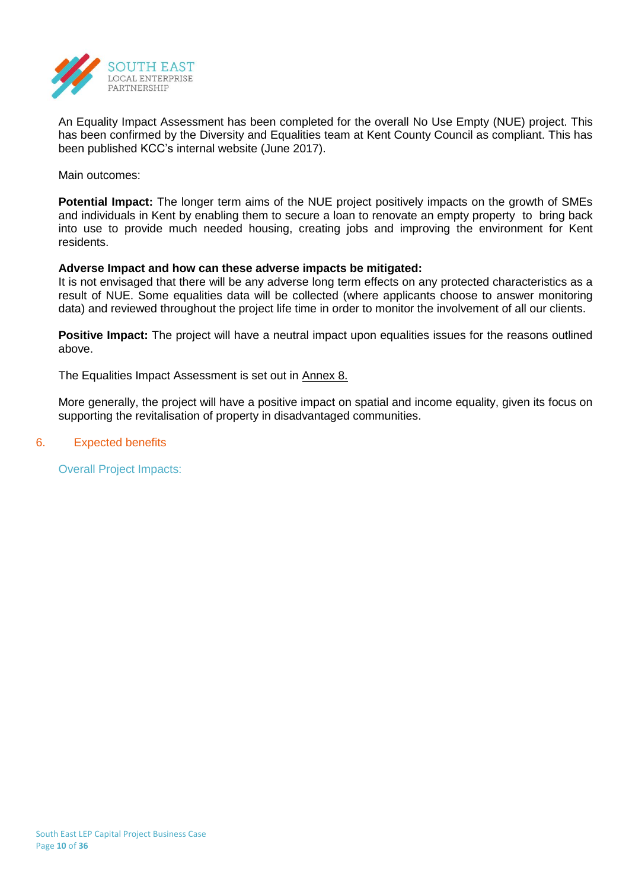

An Equality Impact Assessment has been completed for the overall No Use Empty (NUE) project. This has been confirmed by the Diversity and Equalities team at Kent County Council as compliant. This has been published KCC's internal website (June 2017).

Main outcomes:

**Potential Impact:** The longer term aims of the NUE project positively impacts on the growth of SMEs and individuals in Kent by enabling them to secure a loan to renovate an empty property to bring back into use to provide much needed housing, creating jobs and improving the environment for Kent residents.

# **Adverse Impact and how can these adverse impacts be mitigated:**

It is not envisaged that there will be any adverse long term effects on any protected characteristics as a result of NUE. Some equalities data will be collected (where applicants choose to answer monitoring data) and reviewed throughout the project life time in order to monitor the involvement of all our clients.

**Positive Impact:** The project will have a neutral impact upon equalities issues for the reasons outlined above.

The Equalities Impact Assessment is set out in Annex 8.

More generally, the project will have a positive impact on spatial and income equality, given its focus on supporting the revitalisation of property in disadvantaged communities.

#### 6. Expected benefits

Overall Project Impacts: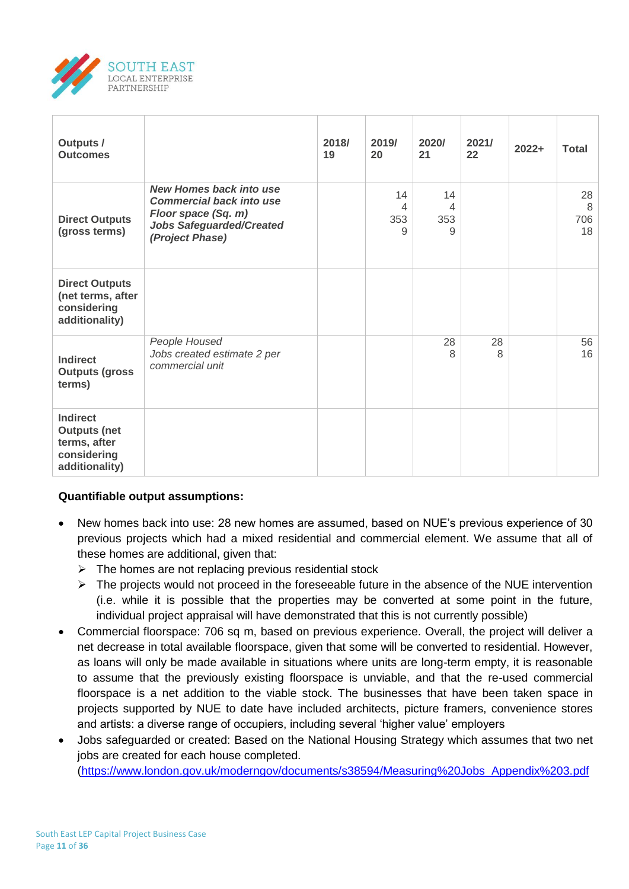

| <b>Outputs /</b><br><b>Outcomes</b>                                                     |                                                                                                                                                | 2018/<br>19 | 2019/<br>20         | 2020/<br>21         | 2021/<br>22 | $2022+$ | <b>Total</b>         |
|-----------------------------------------------------------------------------------------|------------------------------------------------------------------------------------------------------------------------------------------------|-------------|---------------------|---------------------|-------------|---------|----------------------|
| <b>Direct Outputs</b><br>(gross terms)                                                  | <b>New Homes back into use</b><br><b>Commercial back into use</b><br>Floor space (Sq. m)<br><b>Jobs Safeguarded/Created</b><br>(Project Phase) |             | 14<br>4<br>353<br>9 | 14<br>4<br>353<br>9 |             |         | 28<br>8<br>706<br>18 |
| <b>Direct Outputs</b><br>(net terms, after<br>considering<br>additionality)             |                                                                                                                                                |             |                     |                     |             |         |                      |
| <b>Indirect</b><br><b>Outputs (gross</b><br>terms)                                      | People Housed<br>Jobs created estimate 2 per<br>commercial unit                                                                                |             |                     | 28<br>8             | 28<br>8     |         | 56<br>16             |
| <b>Indirect</b><br><b>Outputs (net</b><br>terms, after<br>considering<br>additionality) |                                                                                                                                                |             |                     |                     |             |         |                      |

# **Quantifiable output assumptions:**

- New homes back into use: 28 new homes are assumed, based on NUE's previous experience of 30 previous projects which had a mixed residential and commercial element. We assume that all of these homes are additional, given that:
	- $\triangleright$  The homes are not replacing previous residential stock
	- $\triangleright$  The projects would not proceed in the foreseeable future in the absence of the NUE intervention (i.e. while it is possible that the properties may be converted at some point in the future, individual project appraisal will have demonstrated that this is not currently possible)
- Commercial floorspace: 706 sq m, based on previous experience. Overall, the project will deliver a net decrease in total available floorspace, given that some will be converted to residential. However, as loans will only be made available in situations where units are long-term empty, it is reasonable to assume that the previously existing floorspace is unviable, and that the re-used commercial floorspace is a net addition to the viable stock. The businesses that have been taken space in projects supported by NUE to date have included architects, picture framers, convenience stores and artists: a diverse range of occupiers, including several 'higher value' employers
- Jobs safeguarded or created: Based on the National Housing Strategy which assumes that two net jobs are created for each house completed. [\(https://www.london.gov.uk/moderngov/documents/s38594/Measuring%20Jobs\\_Appendix%203.pdf](https://www.london.gov.uk/moderngov/documents/s38594/Measuring%20Jobs_Appendix%203.pdf)

South East LEP Capital Project Business Case Page **11** of **36**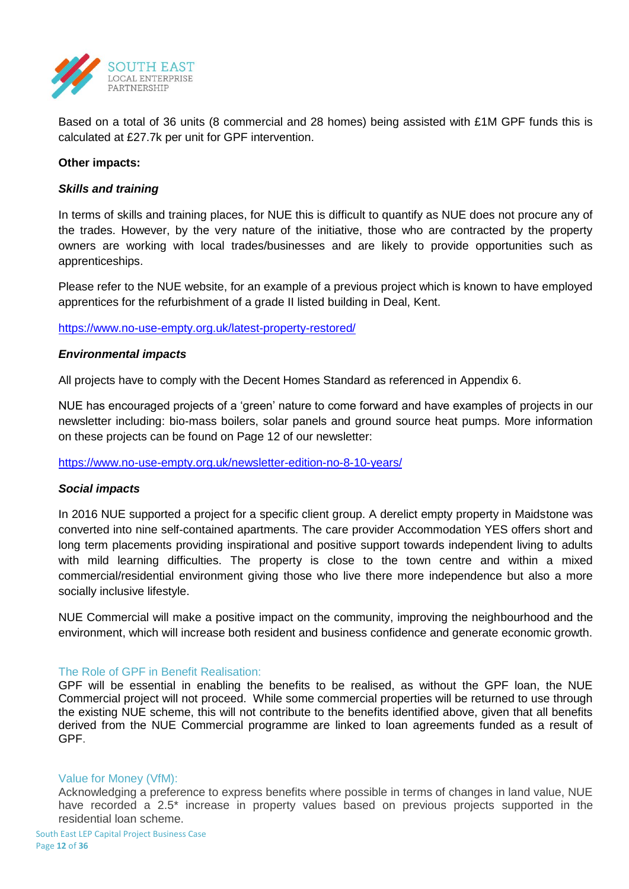

Based on a total of 36 units (8 commercial and 28 homes) being assisted with £1M GPF funds this is calculated at £27.7k per unit for GPF intervention.

# **Other impacts:**

# *Skills and training*

In terms of skills and training places, for NUE this is difficult to quantify as NUE does not procure any of the trades. However, by the very nature of the initiative, those who are contracted by the property owners are working with local trades/businesses and are likely to provide opportunities such as apprenticeships.

Please refer to the NUE website, for an example of a previous project which is known to have employed apprentices for the refurbishment of a grade II listed building in Deal, Kent.

<https://www.no-use-empty.org.uk/latest-property-restored/>

# *Environmental impacts*

All projects have to comply with the Decent Homes Standard as referenced in Appendix 6.

NUE has encouraged projects of a 'green' nature to come forward and have examples of projects in our newsletter including: bio-mass boilers, solar panels and ground source heat pumps. More information on these projects can be found on Page 12 of our newsletter:

<https://www.no-use-empty.org.uk/newsletter-edition-no-8-10-years/>

# *Social impacts*

In 2016 NUE supported a project for a specific client group. A derelict empty property in Maidstone was converted into nine self-contained apartments. The care provider Accommodation YES offers short and long term placements providing inspirational and positive support towards independent living to adults with mild learning difficulties. The property is close to the town centre and within a mixed commercial/residential environment giving those who live there more independence but also a more socially inclusive lifestyle.

NUE Commercial will make a positive impact on the community, improving the neighbourhood and the environment, which will increase both resident and business confidence and generate economic growth.

#### The Role of GPF in Benefit Realisation:

GPF will be essential in enabling the benefits to be realised, as without the GPF loan, the NUE Commercial project will not proceed. While some commercial properties will be returned to use through the existing NUE scheme, this will not contribute to the benefits identified above, given that all benefits derived from the NUE Commercial programme are linked to loan agreements funded as a result of GPF.

#### Value for Money (VfM):

Acknowledging a preference to express benefits where possible in terms of changes in land value, NUE have recorded a 2.5\* increase in property values based on previous projects supported in the residential loan scheme.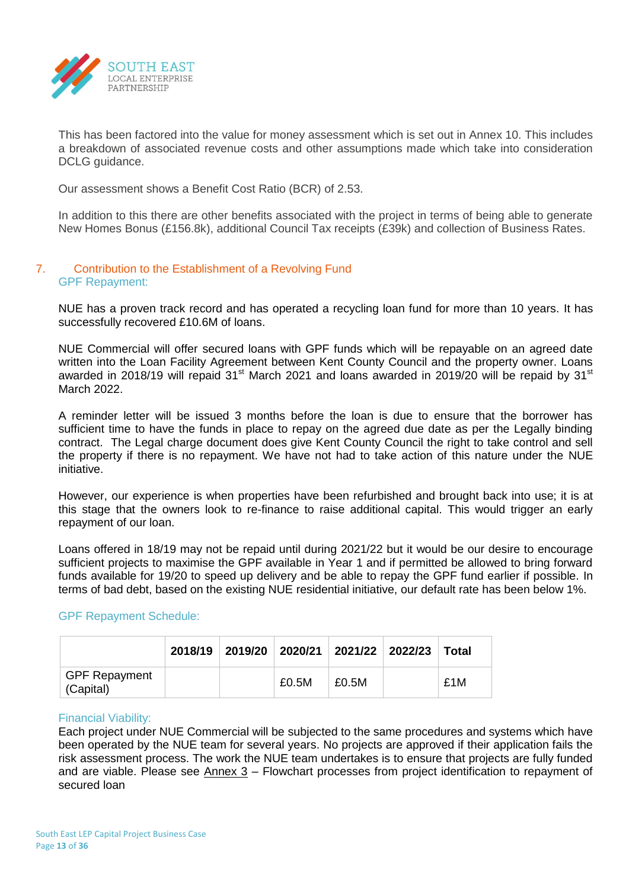

This has been factored into the value for money assessment which is set out in Annex 10. This includes a breakdown of associated revenue costs and other assumptions made which take into consideration DCLG guidance.

Our assessment shows a Benefit Cost Ratio (BCR) of 2.53.

In addition to this there are other benefits associated with the project in terms of being able to generate New Homes Bonus (£156.8k), additional Council Tax receipts (£39k) and collection of Business Rates.

# 7. Contribution to the Establishment of a Revolving Fund GPF Repayment:

NUE has a proven track record and has operated a recycling loan fund for more than 10 years. It has successfully recovered £10.6M of loans.

NUE Commercial will offer secured loans with GPF funds which will be repayable on an agreed date written into the Loan Facility Agreement between Kent County Council and the property owner. Loans awarded in 2018/19 will repaid  $31<sup>st</sup>$  March 2021 and loans awarded in 2019/20 will be repaid by  $31<sup>st</sup>$ March 2022

A reminder letter will be issued 3 months before the loan is due to ensure that the borrower has sufficient time to have the funds in place to repay on the agreed due date as per the Legally binding contract. The Legal charge document does give Kent County Council the right to take control and sell the property if there is no repayment. We have not had to take action of this nature under the NUE initiative.

However, our experience is when properties have been refurbished and brought back into use; it is at this stage that the owners look to re-finance to raise additional capital. This would trigger an early repayment of our loan.

Loans offered in 18/19 may not be repaid until during 2021/22 but it would be our desire to encourage sufficient projects to maximise the GPF available in Year 1 and if permitted be allowed to bring forward funds available for 19/20 to speed up delivery and be able to repay the GPF fund earlier if possible. In terms of bad debt, based on the existing NUE residential initiative, our default rate has been below 1%.

# GPF Repayment Schedule:

|                                   |  |       |       | 2018/19 2019/20 2020/21 2021/22 2022/23 | Total |
|-----------------------------------|--|-------|-------|-----------------------------------------|-------|
| <b>GPF Repayment</b><br>(Capital) |  | £0.5M | £0.5M |                                         | £1M   |

# Financial Viability:

Each project under NUE Commercial will be subjected to the same procedures and systems which have been operated by the NUE team for several years. No projects are approved if their application fails the risk assessment process. The work the NUE team undertakes is to ensure that projects are fully funded and are viable. Please see Annex 3 – Flowchart processes from project identification to repayment of secured loan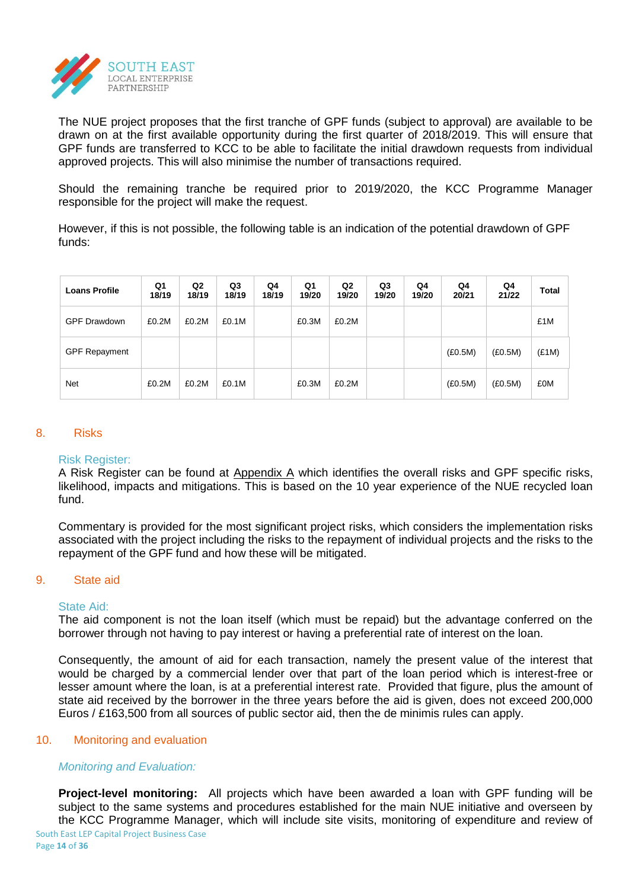

The NUE project proposes that the first tranche of GPF funds (subject to approval) are available to be drawn on at the first available opportunity during the first quarter of 2018/2019. This will ensure that GPF funds are transferred to KCC to be able to facilitate the initial drawdown requests from individual approved projects. This will also minimise the number of transactions required.

Should the remaining tranche be required prior to 2019/2020, the KCC Programme Manager responsible for the project will make the request.

However, if this is not possible, the following table is an indication of the potential drawdown of GPF funds:

| <b>Loans Profile</b> | Q1<br>18/19 | Q <sub>2</sub><br>18/19 | Q3<br>18/19 | Q4<br>18/19 | Q1<br>19/20 | Q <sub>2</sub><br>19/20 | Q3<br>19/20 | Q4<br>19/20 | Q4<br>20/21 | Q4<br>21/22 | Total |
|----------------------|-------------|-------------------------|-------------|-------------|-------------|-------------------------|-------------|-------------|-------------|-------------|-------|
| <b>GPF Drawdown</b>  | £0.2M       | £0.2M                   | £0.1M       |             | £0.3M       | £0.2M                   |             |             |             |             | £1M   |
| <b>GPF Repayment</b> |             |                         |             |             |             |                         |             |             | (E0.5M)     | (E0.5M)     | (E1M) |
| <b>Net</b>           | £0.2M       | £0.2M                   | £0.1M       |             | £0.3M       | £0.2M                   |             |             | (E0.5M)     | (E0.5M)     | £0M   |

#### 8. Risks

#### Risk Register:

A Risk Register can be found at Appendix A which identifies the overall risks and GPF specific risks, likelihood, impacts and mitigations. This is based on the 10 year experience of the NUE recycled loan fund.

Commentary is provided for the most significant project risks, which considers the implementation risks associated with the project including the risks to the repayment of individual projects and the risks to the repayment of the GPF fund and how these will be mitigated.

#### 9. State aid

#### State Aid:

The aid component is not the loan itself (which must be repaid) but the advantage conferred on the borrower through not having to pay interest or having a preferential rate of interest on the loan.

Consequently, the amount of aid for each transaction, namely the present value of the interest that would be charged by a commercial lender over that part of the loan period which is interest-free or lesser amount where the loan, is at a preferential interest rate. Provided that figure, plus the amount of state aid received by the borrower in the three years before the aid is given, does not exceed 200,000 Euros / £163,500 from all sources of public sector aid, then the de minimis rules can apply.

# 10. Monitoring and evaluation

# *Monitoring and Evaluation:*

South East LEP Capital Project Business Case Page **14** of **36 Project-level monitoring:** All projects which have been awarded a loan with GPF funding will be subject to the same systems and procedures established for the main NUE initiative and overseen by the KCC Programme Manager, which will include site visits, monitoring of expenditure and review of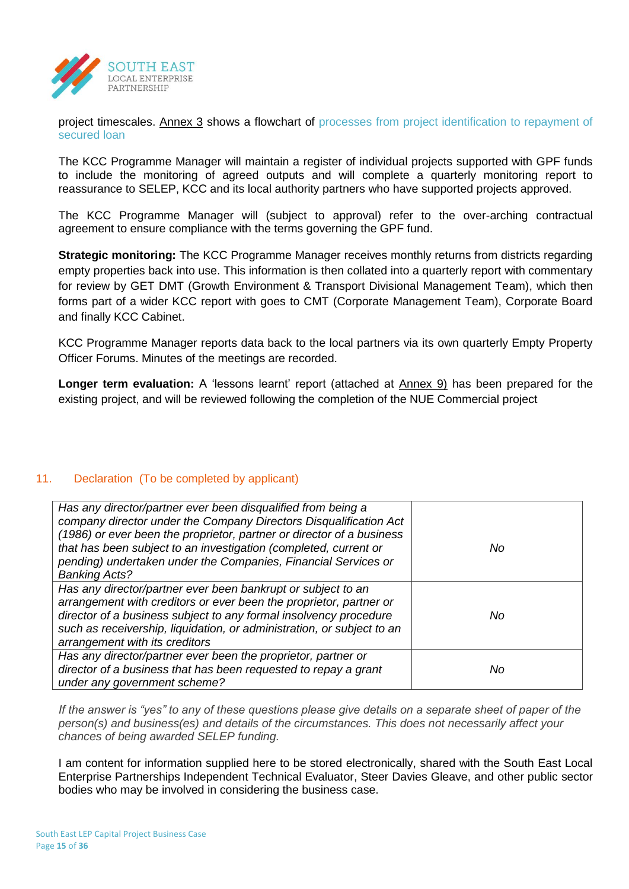

project timescales. Annex 3 shows a flowchart of processes from project identification to repayment of secured loan

The KCC Programme Manager will maintain a register of individual projects supported with GPF funds to include the monitoring of agreed outputs and will complete a quarterly monitoring report to reassurance to SELEP, KCC and its local authority partners who have supported projects approved.

The KCC Programme Manager will (subject to approval) refer to the over-arching contractual agreement to ensure compliance with the terms governing the GPF fund.

**Strategic monitoring:** The KCC Programme Manager receives monthly returns from districts regarding empty properties back into use. This information is then collated into a quarterly report with commentary for review by GET DMT (Growth Environment & Transport Divisional Management Team), which then forms part of a wider KCC report with goes to CMT (Corporate Management Team), Corporate Board and finally KCC Cabinet.

KCC Programme Manager reports data back to the local partners via its own quarterly Empty Property Officer Forums. Minutes of the meetings are recorded.

**Longer term evaluation:** A 'lessons learnt' report (attached at Annex 9) has been prepared for the existing project, and will be reviewed following the completion of the NUE Commercial project

# 11. Declaration (To be completed by applicant)

| Has any director/partner ever been disqualified from being a<br>company director under the Company Directors Disqualification Act<br>(1986) or ever been the proprietor, partner or director of a business<br>that has been subject to an investigation (completed, current or<br>pending) undertaken under the Companies, Financial Services or<br><b>Banking Acts?</b> | No |
|--------------------------------------------------------------------------------------------------------------------------------------------------------------------------------------------------------------------------------------------------------------------------------------------------------------------------------------------------------------------------|----|
| Has any director/partner ever been bankrupt or subject to an<br>arrangement with creditors or ever been the proprietor, partner or<br>director of a business subject to any formal insolvency procedure<br>such as receivership, liquidation, or administration, or subject to an<br>arrangement with its creditors                                                      | No |
| Has any director/partner ever been the proprietor, partner or<br>director of a business that has been requested to repay a grant<br>under any government scheme?                                                                                                                                                                                                         | No |

*If the answer is "yes" to any of these questions please give details on a separate sheet of paper of the person(s) and business(es) and details of the circumstances. This does not necessarily affect your chances of being awarded SELEP funding.*

I am content for information supplied here to be stored electronically, shared with the South East Local Enterprise Partnerships Independent Technical Evaluator, Steer Davies Gleave, and other public sector bodies who may be involved in considering the business case.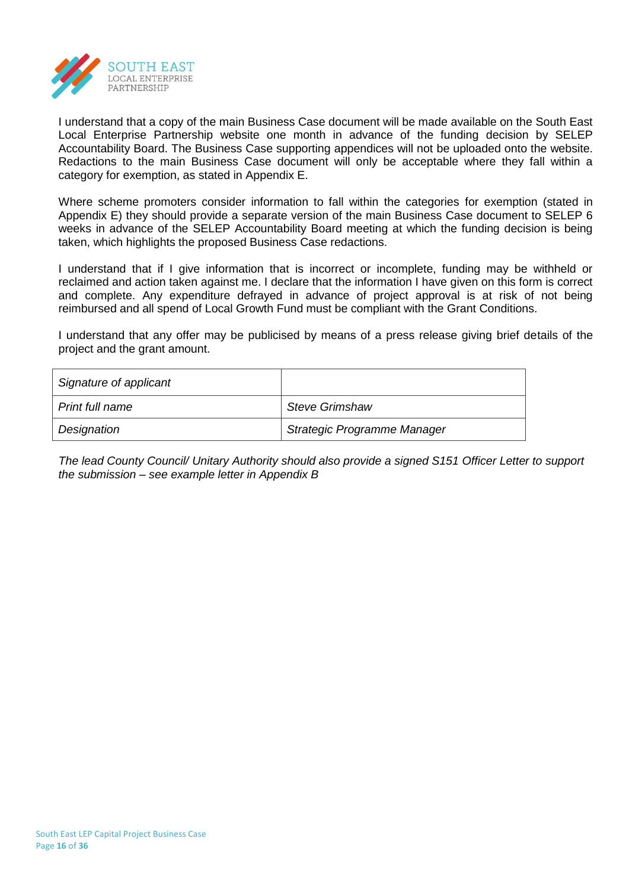

I understand that a copy of the main Business Case document will be made available on the South East Local Enterprise Partnership website one month in advance of the funding decision by SELEP Accountability Board. The Business Case supporting appendices will not be uploaded onto the website. Redactions to the main Business Case document will only be acceptable where they fall within a category for exemption, as stated in Appendix E.

Where scheme promoters consider information to fall within the categories for exemption (stated in Appendix E) they should provide a separate version of the main Business Case document to SELEP 6 weeks in advance of the SELEP Accountability Board meeting at which the funding decision is being taken, which highlights the proposed Business Case redactions.

I understand that if I give information that is incorrect or incomplete, funding may be withheld or reclaimed and action taken against me. I declare that the information I have given on this form is correct and complete. Any expenditure defrayed in advance of project approval is at risk of not being reimbursed and all spend of Local Growth Fund must be compliant with the Grant Conditions.

I understand that any offer may be publicised by means of a press release giving brief details of the project and the grant amount.

| Signature of applicant |                             |
|------------------------|-----------------------------|
| Print full name        | <b>Steve Grimshaw</b>       |
| Designation            | Strategic Programme Manager |

*The lead County Council/ Unitary Authority should also provide a signed S151 Officer Letter to support the submission – see example letter in Appendix B*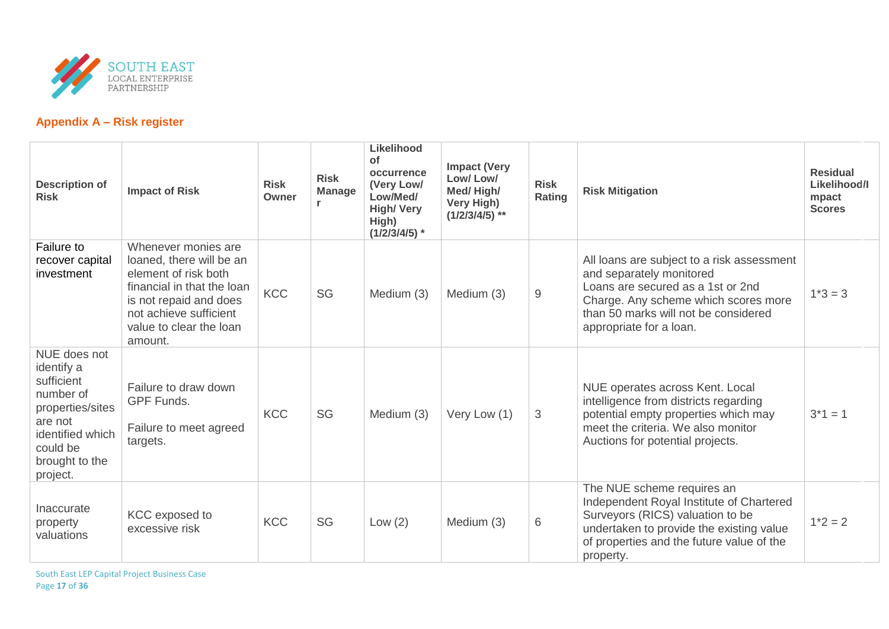

# **Appendix A – Risk register**

| <b>Description of</b><br><b>Risk</b>                                                                                                               | <b>Impact of Risk</b>                                                                                                                                                                           | <b>Risk</b><br>Owner | <b>Risk</b><br><b>Manage</b> | Likelihood<br>of<br>occurrence<br>(Very Low/<br>Low/Med/<br><b>High/Very</b><br>High)<br>$(1/2/3/4/5)$ * | <b>Impact (Very</b><br>Low/Low/<br>Med/High/<br>Very High)<br>$(1/2/3/4/5)$ ** | <b>Risk</b><br>Rating | <b>Risk Mitigation</b>                                                                                                                                                                                                 | <b>Residual</b><br>Likelihood/I<br>mpact<br><b>Scores</b> |
|----------------------------------------------------------------------------------------------------------------------------------------------------|-------------------------------------------------------------------------------------------------------------------------------------------------------------------------------------------------|----------------------|------------------------------|----------------------------------------------------------------------------------------------------------|--------------------------------------------------------------------------------|-----------------------|------------------------------------------------------------------------------------------------------------------------------------------------------------------------------------------------------------------------|-----------------------------------------------------------|
| Failure to<br>recover capital<br>investment                                                                                                        | Whenever monies are<br>loaned, there will be an<br>element of risk both<br>financial in that the loan<br>is not repaid and does<br>not achieve sufficient<br>value to clear the loan<br>amount. | <b>KCC</b>           | SG                           | Medium (3)                                                                                               | Medium (3)                                                                     | 9                     | All loans are subject to a risk assessment<br>and separately monitored<br>Loans are secured as a 1st or 2nd<br>Charge. Any scheme which scores more<br>than 50 marks will not be considered<br>appropriate for a loan. | $1*3 = 3$                                                 |
| NUE does not<br>identify a<br>sufficient<br>number of<br>properties/sites<br>are not<br>identified which<br>could be<br>brought to the<br>project. | Failure to draw down<br><b>GPF Funds.</b><br>Failure to meet agreed<br>targets.                                                                                                                 | <b>KCC</b>           | SG                           | Medium (3)                                                                                               | Very Low (1)                                                                   | 3                     | NUE operates across Kent. Local<br>intelligence from districts regarding<br>potential empty properties which may<br>meet the criteria. We also monitor<br>Auctions for potential projects.                             | $3*1 = 1$                                                 |
| Inaccurate<br>property<br>valuations                                                                                                               | <b>KCC</b> exposed to<br>excessive risk                                                                                                                                                         | <b>KCC</b>           | SG                           | Low $(2)$                                                                                                | Medium (3)                                                                     | 6                     | The NUE scheme requires an<br>Independent Royal Institute of Chartered<br>Surveyors (RICS) valuation to be<br>undertaken to provide the existing value<br>of properties and the future value of the<br>property.       | $1*2 = 2$                                                 |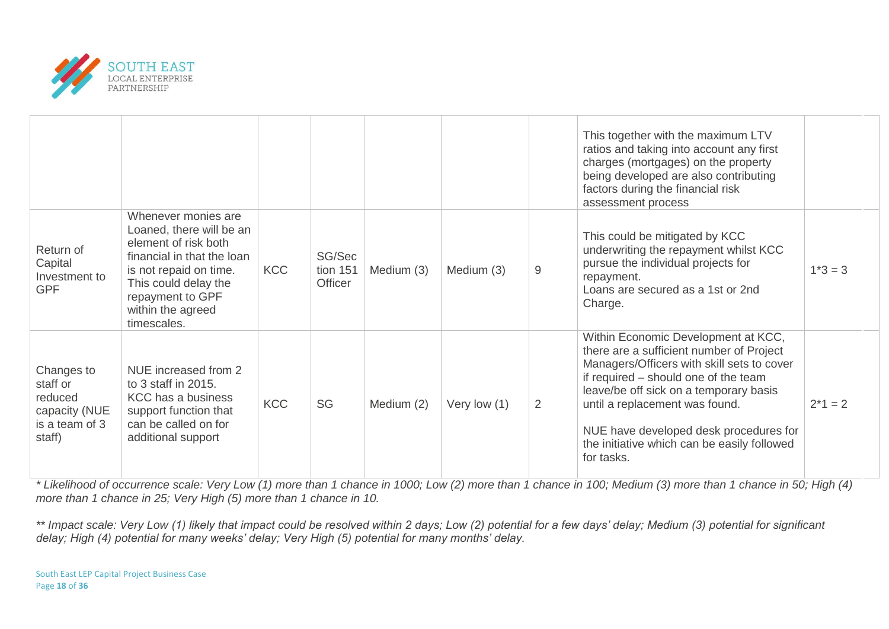

|                                                                                |                                                                                                                                                                                                                 |            |                               |            |              |                | This together with the maximum LTV<br>ratios and taking into account any first<br>charges (mortgages) on the property<br>being developed are also contributing<br>factors during the financial risk<br>assessment process                                                                                                                                |           |
|--------------------------------------------------------------------------------|-----------------------------------------------------------------------------------------------------------------------------------------------------------------------------------------------------------------|------------|-------------------------------|------------|--------------|----------------|----------------------------------------------------------------------------------------------------------------------------------------------------------------------------------------------------------------------------------------------------------------------------------------------------------------------------------------------------------|-----------|
| Return of<br>Capital<br>Investment to<br><b>GPF</b>                            | Whenever monies are<br>Loaned, there will be an<br>element of risk both<br>financial in that the loan<br>is not repaid on time.<br>This could delay the<br>repayment to GPF<br>within the agreed<br>timescales. | <b>KCC</b> | SG/Sec<br>tion 151<br>Officer | Medium (3) | Medium (3)   | 9              | This could be mitigated by KCC<br>underwriting the repayment whilst KCC<br>pursue the individual projects for<br>repayment.<br>Loans are secured as a 1st or 2nd<br>Charge.                                                                                                                                                                              | $1*3 = 3$ |
| Changes to<br>staff or<br>reduced<br>capacity (NUE<br>is a team of 3<br>staff) | NUE increased from 2<br>to 3 staff in 2015.<br><b>KCC</b> has a business<br>support function that<br>can be called on for<br>additional support                                                                 | <b>KCC</b> | SG                            | Medium (2) | Very low (1) | $\overline{2}$ | Within Economic Development at KCC,<br>there are a sufficient number of Project<br>Managers/Officers with skill sets to cover<br>if required - should one of the team<br>leave/be off sick on a temporary basis<br>until a replacement was found.<br>NUE have developed desk procedures for<br>the initiative which can be easily followed<br>for tasks. | $2*1 = 2$ |

*\* Likelihood of occurrence scale: Very Low (1) more than 1 chance in 1000; Low (2) more than 1 chance in 100; Medium (3) more than 1 chance in 50; High (4) more than 1 chance in 25; Very High (5) more than 1 chance in 10.*

*\*\* Impact scale: Very Low (1) likely that impact could be resolved within 2 days; Low (2) potential for a few days' delay; Medium (3) potential for significant delay; High (4) potential for many weeks' delay; Very High (5) potential for many months' delay.*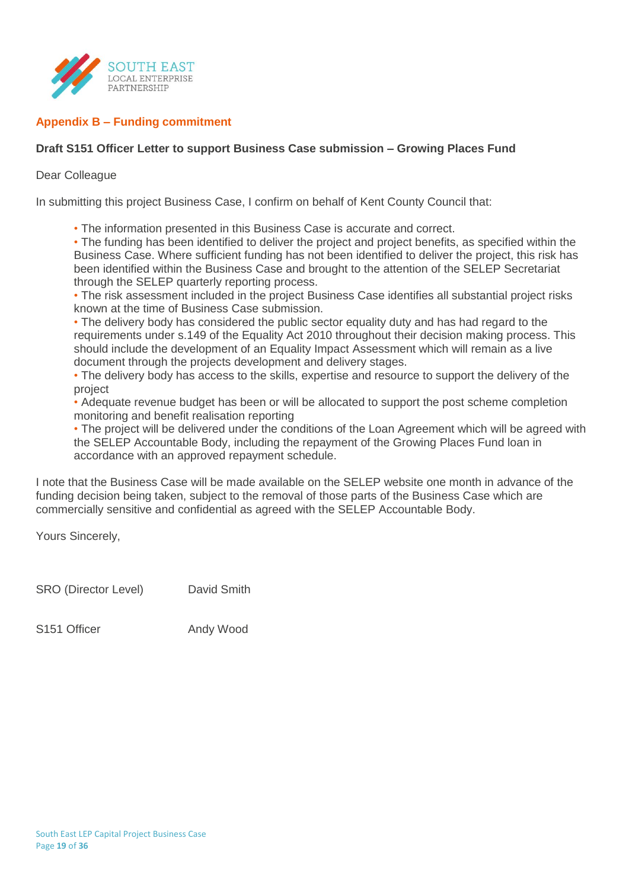

# **Appendix B – Funding commitment**

# **Draft S151 Officer Letter to support Business Case submission – Growing Places Fund**

# Dear Colleague

In submitting this project Business Case, I confirm on behalf of Kent County Council that:

• The information presented in this Business Case is accurate and correct.

• The funding has been identified to deliver the project and project benefits, as specified within the Business Case. Where sufficient funding has not been identified to deliver the project, this risk has been identified within the Business Case and brought to the attention of the SELEP Secretariat through the SELEP quarterly reporting process.

• The risk assessment included in the project Business Case identifies all substantial project risks known at the time of Business Case submission.

• The delivery body has considered the public sector equality duty and has had regard to the requirements under s.149 of the Equality Act 2010 throughout their decision making process. This should include the development of an Equality Impact Assessment which will remain as a live document through the projects development and delivery stages.

• The delivery body has access to the skills, expertise and resource to support the delivery of the project

• Adequate revenue budget has been or will be allocated to support the post scheme completion monitoring and benefit realisation reporting

• The project will be delivered under the conditions of the Loan Agreement which will be agreed with the SELEP Accountable Body, including the repayment of the Growing Places Fund loan in accordance with an approved repayment schedule.

I note that the Business Case will be made available on the SELEP website one month in advance of the funding decision being taken, subject to the removal of those parts of the Business Case which are commercially sensitive and confidential as agreed with the SELEP Accountable Body.

Yours Sincerely,

SRO (Director Level) David Smith

S151 Officer Andy Wood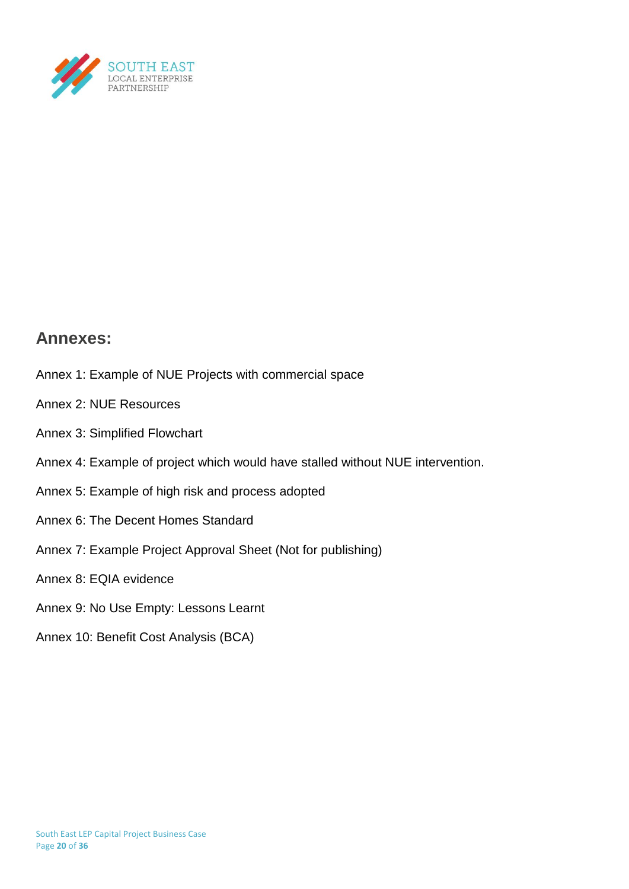

# **Annexes:**

- Annex 1: Example of NUE Projects with commercial space
- Annex 2: NUE Resources
- Annex 3: Simplified Flowchart
- Annex 4: Example of project which would have stalled without NUE intervention.
- Annex 5: Example of high risk and process adopted
- Annex 6: The Decent Homes Standard
- Annex 7: Example Project Approval Sheet (Not for publishing)
- Annex 8: EQIA evidence
- Annex 9: No Use Empty: Lessons Learnt
- Annex 10: Benefit Cost Analysis (BCA)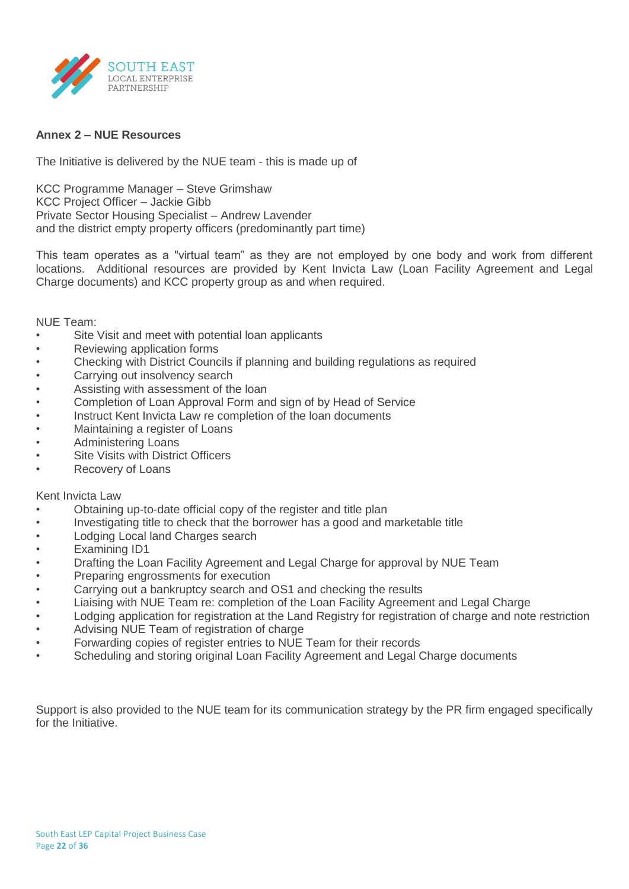

# **Annex 2 – NUE Resources**

The Initiative is delivered by the NUE team - this is made up of

KCC Programme Manager – Steve Grimshaw KCC Project Officer – Jackie Gibb Private Sector Housing Specialist – Andrew Lavender and the district empty property officers (predominantly part time)

This team operates as a "virtual team" as they are not employed by one body and work from different locations. Additional resources are provided by Kent Invicta Law (Loan Facility Agreement and Legal Charge documents) and KCC property group as and when required.

NUE Team:

- Site Visit and meet with potential loan applicants
- Reviewing application forms
- Checking with District Councils if planning and building regulations as required
- Carrying out insolvency search
- Assisting with assessment of the loan
- Completion of Loan Approval Form and sign of by Head of Service
- Instruct Kent Invicta Law re completion of the loan documents
- Maintaining a register of Loans
- Administering Loans
- **Site Visits with District Officers**
- Recovery of Loans

#### Kent Invicta Law

- Obtaining up-to-date official copy of the register and title plan
- Investigating title to check that the borrower has a good and marketable title
- Lodging Local land Charges search
- Examining ID1
- Drafting the Loan Facility Agreement and Legal Charge for approval by NUE Team
- Preparing engrossments for execution
- Carrying out a bankruptcy search and OS1 and checking the results
- Liaising with NUE Team re: completion of the Loan Facility Agreement and Legal Charge
- Lodging application for registration at the Land Registry for registration of charge and note restriction
- Advising NUE Team of registration of charge
- Forwarding copies of register entries to NUE Team for their records
- Scheduling and storing original Loan Facility Agreement and Legal Charge documents

Support is also provided to the NUE team for its communication strategy by the PR firm engaged specifically for the Initiative.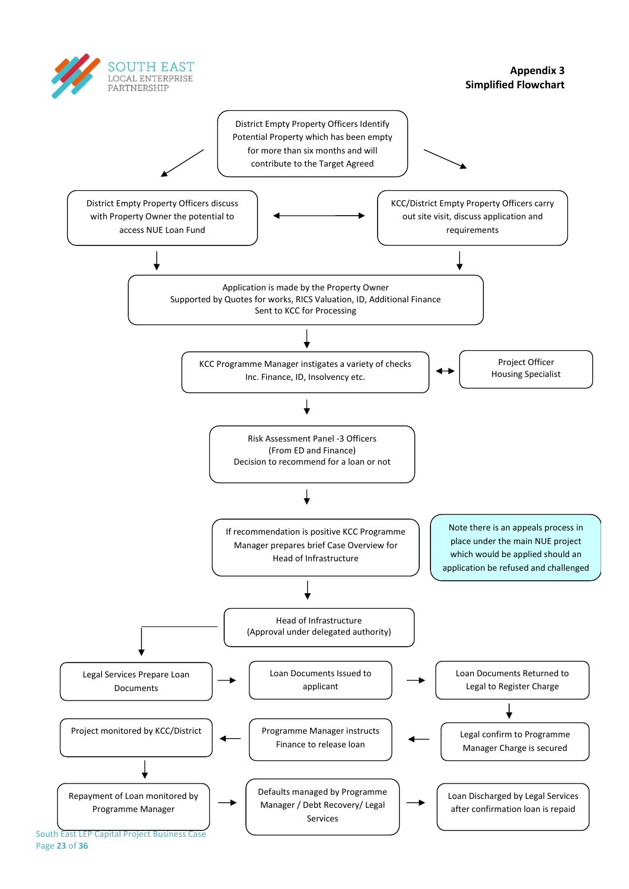

**Appendix 3 Simplified Flowchart**

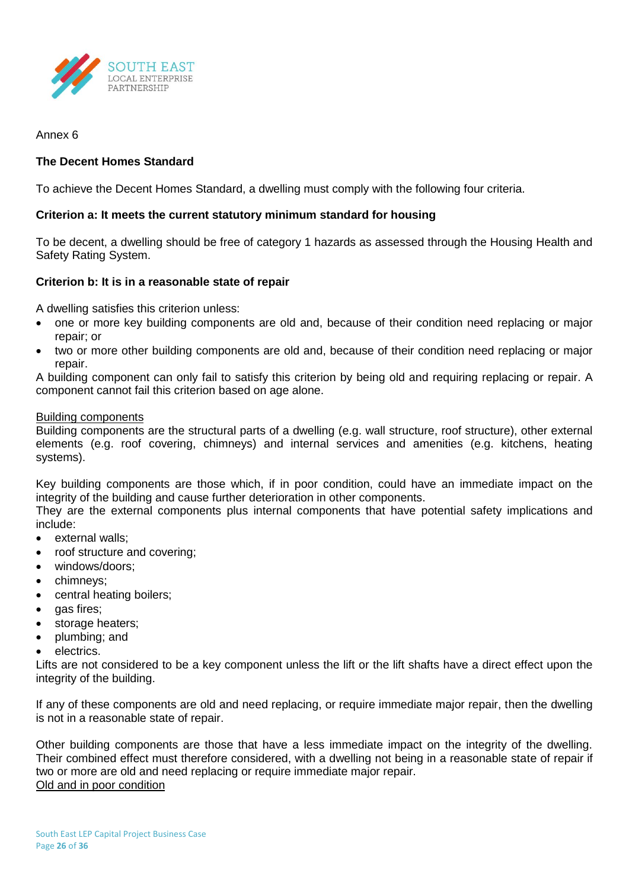

Annex 6

# **The Decent Homes Standard**

To achieve the Decent Homes Standard, a dwelling must comply with the following four criteria.

# **Criterion a: It meets the current statutory minimum standard for housing**

To be decent, a dwelling should be free of category 1 hazards as assessed through the Housing Health and Safety Rating System.

# **Criterion b: It is in a reasonable state of repair**

A dwelling satisfies this criterion unless:

- one or more key building components are old and, because of their condition need replacing or major repair; or
- two or more other building components are old and, because of their condition need replacing or major repair.

A building component can only fail to satisfy this criterion by being old and requiring replacing or repair. A component cannot fail this criterion based on age alone.

# Building components

Building components are the structural parts of a dwelling (e.g. wall structure, roof structure), other external elements (e.g. roof covering, chimneys) and internal services and amenities (e.g. kitchens, heating systems).

Key building components are those which, if in poor condition, could have an immediate impact on the integrity of the building and cause further deterioration in other components.

They are the external components plus internal components that have potential safety implications and include:

- external walls;
- roof structure and covering;
- windows/doors;
- chimneys;
- central heating boilers;
- gas fires;
- storage heaters;
- plumbing; and
- electrics.

Lifts are not considered to be a key component unless the lift or the lift shafts have a direct effect upon the integrity of the building.

If any of these components are old and need replacing, or require immediate major repair, then the dwelling is not in a reasonable state of repair.

Other building components are those that have a less immediate impact on the integrity of the dwelling. Their combined effect must therefore considered, with a dwelling not being in a reasonable state of repair if two or more are old and need replacing or require immediate major repair. Old and in poor condition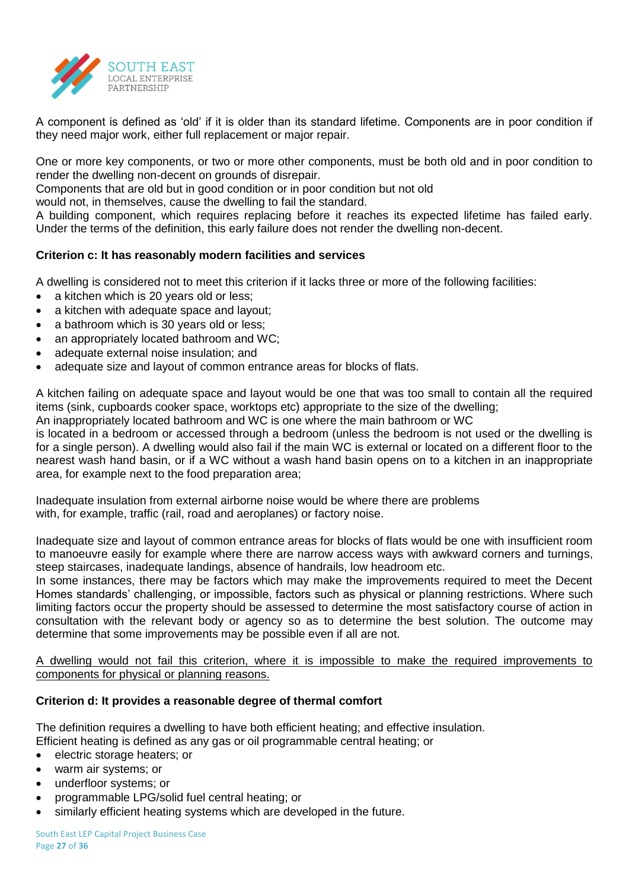

A component is defined as 'old' if it is older than its standard lifetime. Components are in poor condition if they need major work, either full replacement or major repair.

One or more key components, or two or more other components, must be both old and in poor condition to render the dwelling non-decent on grounds of disrepair.

Components that are old but in good condition or in poor condition but not old

would not, in themselves, cause the dwelling to fail the standard.

A building component, which requires replacing before it reaches its expected lifetime has failed early. Under the terms of the definition, this early failure does not render the dwelling non-decent.

# **Criterion c: It has reasonably modern facilities and services**

A dwelling is considered not to meet this criterion if it lacks three or more of the following facilities:

- a kitchen which is 20 years old or less;
- a kitchen with adequate space and layout;
- a bathroom which is 30 years old or less;
- an appropriately located bathroom and WC;
- adequate external noise insulation; and
- adequate size and layout of common entrance areas for blocks of flats.

A kitchen failing on adequate space and layout would be one that was too small to contain all the required items (sink, cupboards cooker space, worktops etc) appropriate to the size of the dwelling; An inappropriately located bathroom and WC is one where the main bathroom or WC

is located in a bedroom or accessed through a bedroom (unless the bedroom is not used or the dwelling is for a single person). A dwelling would also fail if the main WC is external or located on a different floor to the nearest wash hand basin, or if a WC without a wash hand basin opens on to a kitchen in an inappropriate area, for example next to the food preparation area;

Inadequate insulation from external airborne noise would be where there are problems with, for example, traffic (rail, road and aeroplanes) or factory noise.

Inadequate size and layout of common entrance areas for blocks of flats would be one with insufficient room to manoeuvre easily for example where there are narrow access ways with awkward corners and turnings, steep staircases, inadequate landings, absence of handrails, low headroom etc.

In some instances, there may be factors which may make the improvements required to meet the Decent Homes standards' challenging, or impossible, factors such as physical or planning restrictions. Where such limiting factors occur the property should be assessed to determine the most satisfactory course of action in consultation with the relevant body or agency so as to determine the best solution. The outcome may determine that some improvements may be possible even if all are not.

A dwelling would not fail this criterion, where it is impossible to make the required improvements to components for physical or planning reasons.

# **Criterion d: It provides a reasonable degree of thermal comfort**

The definition requires a dwelling to have both efficient heating; and effective insulation. Efficient heating is defined as any gas or oil programmable central heating; or

- electric storage heaters; or
- warm air systems; or
- underfloor systems; or
- programmable LPG/solid fuel central heating; or
- similarly efficient heating systems which are developed in the future.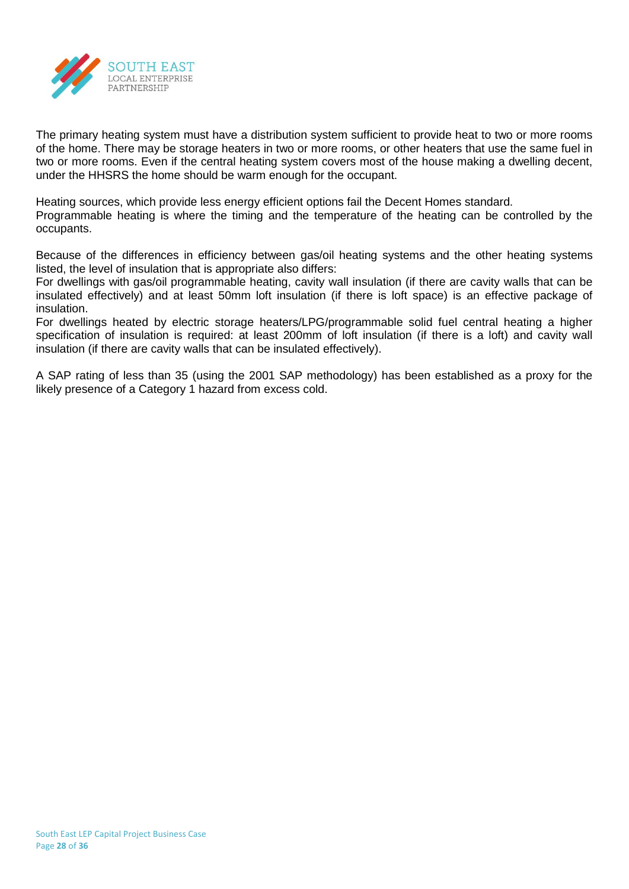

The primary heating system must have a distribution system sufficient to provide heat to two or more rooms of the home. There may be storage heaters in two or more rooms, or other heaters that use the same fuel in two or more rooms. Even if the central heating system covers most of the house making a dwelling decent, under the HHSRS the home should be warm enough for the occupant.

Heating sources, which provide less energy efficient options fail the Decent Homes standard. Programmable heating is where the timing and the temperature of the heating can be controlled by the occupants.

Because of the differences in efficiency between gas/oil heating systems and the other heating systems listed, the level of insulation that is appropriate also differs:

For dwellings with gas/oil programmable heating, cavity wall insulation (if there are cavity walls that can be insulated effectively) and at least 50mm loft insulation (if there is loft space) is an effective package of insulation.

For dwellings heated by electric storage heaters/LPG/programmable solid fuel central heating a higher specification of insulation is required: at least 200mm of loft insulation (if there is a loft) and cavity wall insulation (if there are cavity walls that can be insulated effectively).

A SAP rating of less than 35 (using the 2001 SAP methodology) has been established as a proxy for the likely presence of a Category 1 hazard from excess cold.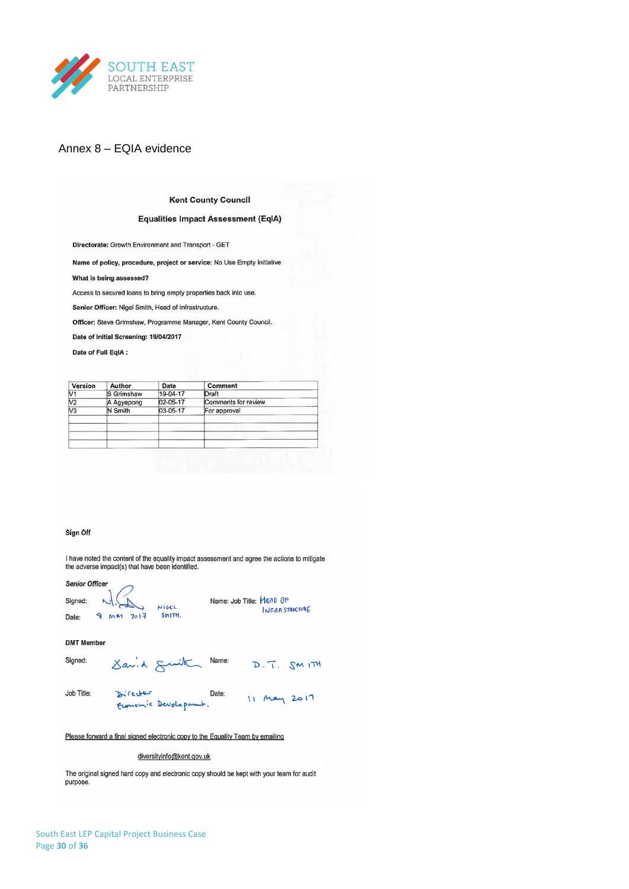

# Annex 8 – EQIA evidence

#### **Kent County Council**

#### **Equalities Impact Assessment (EqIA)**

Directorate: Growth Environment and Transport - GET

Name of policy, procedure, project or service: No Use Empty Initiative

What is being assessed?

Access to secured loans to bring empty properties back into use.

Senior Officer: Nigel Smith, Head of Infrastructure.

Officer: Steve Grimshaw, Programme Manager, Kent County Council.

Date of Initial Screening: 19/04/2017

Date of Full EqIA:

| Version                  | Author     | Date       | Comment             |
|--------------------------|------------|------------|---------------------|
| V1                       | S Grimshaw | $19-04-17$ | Draft               |
| V <sub>2</sub>           | A Agyepong | 02-05-17   | Comments for review |
| $\overline{\mathsf{V3}}$ | N Smith    | 03-05-17   | For approval        |
|                          |            |            |                     |
|                          |            |            |                     |
|                          |            |            |                     |
|                          |            |            |                     |

#### Sign Off

I have noted the content of the equality impact assessment and agree the actions to mitigate the adverse impact(s) that have been identified.

**Senior Officer** 

Name: Job Title: HEAD OF Signed:  $MGCL$ INFRASTRUCTURE Date: 8 MA1 2017  $S<sub>H</sub>$ <sub>17</sub>H<sub>1</sub> **DMT** Member Savid Smith Name: Signed: D. T. SMITH

Job Title: 11 May 2017 Director Date: Franonic Development.

Please forward a final signed electronic copy to the Equality Team by emailing

diversityinfo@kent.gov.uk

The original signed hard copy and electronic copy should be kept with your team for audit purpose.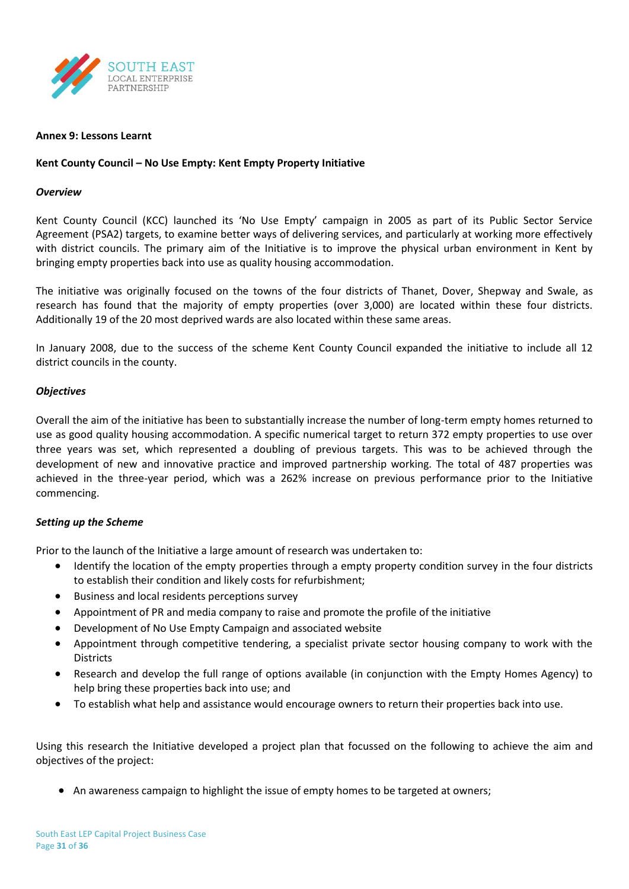

#### **Annex 9: Lessons Learnt**

#### **Kent County Council – No Use Empty: Kent Empty Property Initiative**

#### *Overview*

Kent County Council (KCC) launched its 'No Use Empty' campaign in 2005 as part of its Public Sector Service Agreement (PSA2) targets, to examine better ways of delivering services, and particularly at working more effectively with district councils. The primary aim of the Initiative is to improve the physical urban environment in Kent by bringing empty properties back into use as quality housing accommodation.

The initiative was originally focused on the towns of the four districts of Thanet, Dover, Shepway and Swale, as research has found that the majority of empty properties (over 3,000) are located within these four districts. Additionally 19 of the 20 most deprived wards are also located within these same areas.

In January 2008, due to the success of the scheme Kent County Council expanded the initiative to include all 12 district councils in the county.

#### *Objectives*

Overall the aim of the initiative has been to substantially increase the number of long-term empty homes returned to use as good quality housing accommodation. A specific numerical target to return 372 empty properties to use over three years was set, which represented a doubling of previous targets. This was to be achieved through the development of new and innovative practice and improved partnership working. The total of 487 properties was achieved in the three-year period, which was a 262% increase on previous performance prior to the Initiative commencing.

#### *Setting up the Scheme*

Prior to the launch of the Initiative a large amount of research was undertaken to:

- Identify the location of the empty properties through a empty property condition survey in the four districts to establish their condition and likely costs for refurbishment;
- Business and local residents perceptions survey
- Appointment of PR and media company to raise and promote the profile of the initiative
- Development of No Use Empty Campaign and associated website
- Appointment through competitive tendering, a specialist private sector housing company to work with the **Districts**
- Research and develop the full range of options available (in conjunction with the Empty Homes Agency) to help bring these properties back into use; and
- To establish what help and assistance would encourage owners to return their properties back into use.

Using this research the Initiative developed a project plan that focussed on the following to achieve the aim and objectives of the project:

• An awareness campaign to highlight the issue of empty homes to be targeted at owners;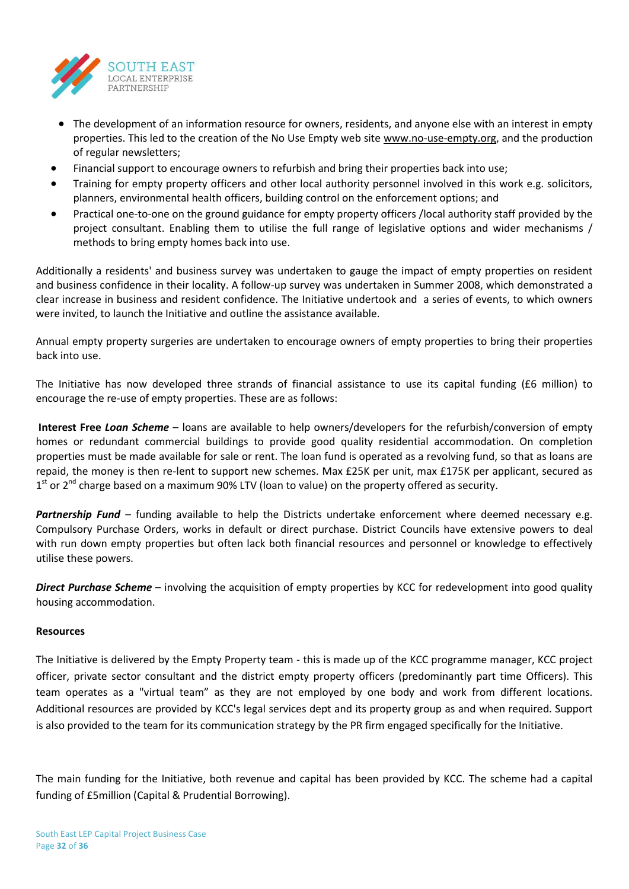

- The development of an information resource for owners, residents, and anyone else with an interest in empty properties. This led to the creation of the No Use Empty web site www.no-use-empty.org, and the production of regular newsletters;
- Financial support to encourage owners to refurbish and bring their properties back into use;
- Training for empty property officers and other local authority personnel involved in this work e.g. solicitors, planners, environmental health officers, building control on the enforcement options; and
- Practical one-to-one on the ground guidance for empty property officers /local authority staff provided by the project consultant. Enabling them to utilise the full range of legislative options and wider mechanisms / methods to bring empty homes back into use.

Additionally a residents' and business survey was undertaken to gauge the impact of empty properties on resident and business confidence in their locality. A follow-up survey was undertaken in Summer 2008, which demonstrated a clear increase in business and resident confidence. The Initiative undertook and a series of events, to which owners were invited, to launch the Initiative and outline the assistance available.

Annual empty property surgeries are undertaken to encourage owners of empty properties to bring their properties back into use.

The Initiative has now developed three strands of financial assistance to use its capital funding (£6 million) to encourage the re-use of empty properties. These are as follows:

**Interest Free** *Loan Scheme* – loans are available to help owners/developers for the refurbish/conversion of empty homes or redundant commercial buildings to provide good quality residential accommodation. On completion properties must be made available for sale or rent. The loan fund is operated as a revolving fund, so that as loans are repaid, the money is then re-lent to support new schemes. Max £25K per unit, max £175K per applicant, secured as 1<sup>st</sup> or 2<sup>nd</sup> charge based on a maximum 90% LTV (loan to value) on the property offered as security.

*Partnership Fund* – funding available to help the Districts undertake enforcement where deemed necessary e.g. Compulsory Purchase Orders, works in default or direct purchase. District Councils have extensive powers to deal with run down empty properties but often lack both financial resources and personnel or knowledge to effectively utilise these powers.

*Direct Purchase Scheme* – involving the acquisition of empty properties by KCC for redevelopment into good quality housing accommodation.

#### **Resources**

The Initiative is delivered by the Empty Property team - this is made up of the KCC programme manager, KCC project officer, private sector consultant and the district empty property officers (predominantly part time Officers). This team operates as a "virtual team" as they are not employed by one body and work from different locations. Additional resources are provided by KCC's legal services dept and its property group as and when required. Support is also provided to the team for its communication strategy by the PR firm engaged specifically for the Initiative.

The main funding for the Initiative, both revenue and capital has been provided by KCC. The scheme had a capital funding of £5million (Capital & Prudential Borrowing).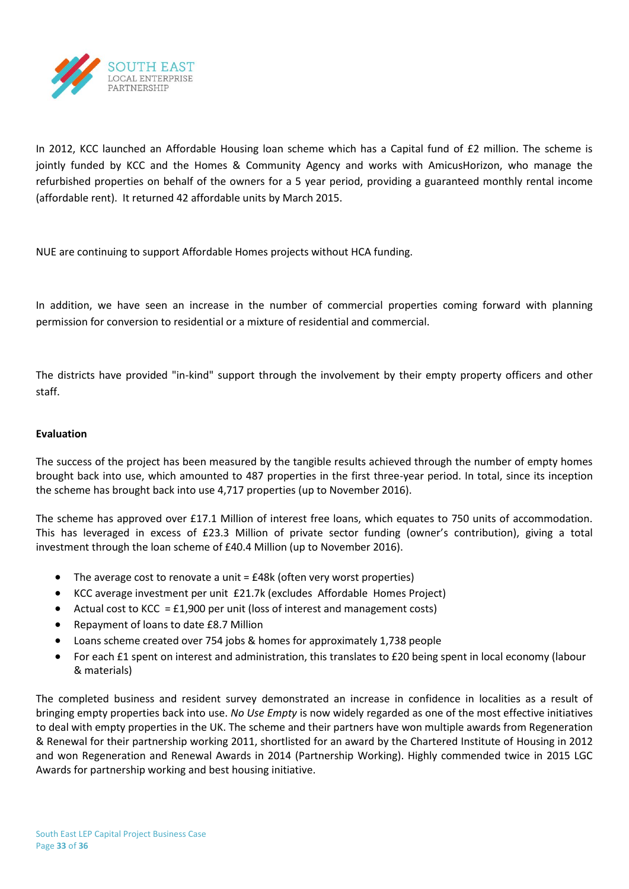

In 2012, KCC launched an Affordable Housing loan scheme which has a Capital fund of £2 million. The scheme is jointly funded by KCC and the Homes & Community Agency and works with AmicusHorizon, who manage the refurbished properties on behalf of the owners for a 5 year period, providing a guaranteed monthly rental income (affordable rent). It returned 42 affordable units by March 2015.

NUE are continuing to support Affordable Homes projects without HCA funding.

In addition, we have seen an increase in the number of commercial properties coming forward with planning permission for conversion to residential or a mixture of residential and commercial.

The districts have provided "in-kind" support through the involvement by their empty property officers and other staff.

#### **Evaluation**

The success of the project has been measured by the tangible results achieved through the number of empty homes brought back into use, which amounted to 487 properties in the first three-year period. In total, since its inception the scheme has brought back into use 4,717 properties (up to November 2016).

The scheme has approved over £17.1 Million of interest free loans, which equates to 750 units of accommodation. This has leveraged in excess of £23.3 Million of private sector funding (owner's contribution), giving a total investment through the loan scheme of £40.4 Million (up to November 2016).

- $\bullet$  The average cost to renovate a unit =  $£48k$  (often very worst properties)
- KCC average investment per unit £21.7k (excludes Affordable Homes Project)
- Actual cost to KCC =  $£1,900$  per unit (loss of interest and management costs)
- Repayment of loans to date £8.7 Million
- Loans scheme created over 754 jobs & homes for approximately 1,738 people
- For each £1 spent on interest and administration, this translates to £20 being spent in local economy (labour & materials)

The completed business and resident survey demonstrated an increase in confidence in localities as a result of bringing empty properties back into use. *No Use Empty* is now widely regarded as one of the most effective initiatives to deal with empty properties in the UK. The scheme and their partners have won multiple awards from Regeneration & Renewal for their partnership working 2011, shortlisted for an award by the Chartered Institute of Housing in 2012 and won Regeneration and Renewal Awards in 2014 (Partnership Working). Highly commended twice in 2015 LGC Awards for partnership working and best housing initiative.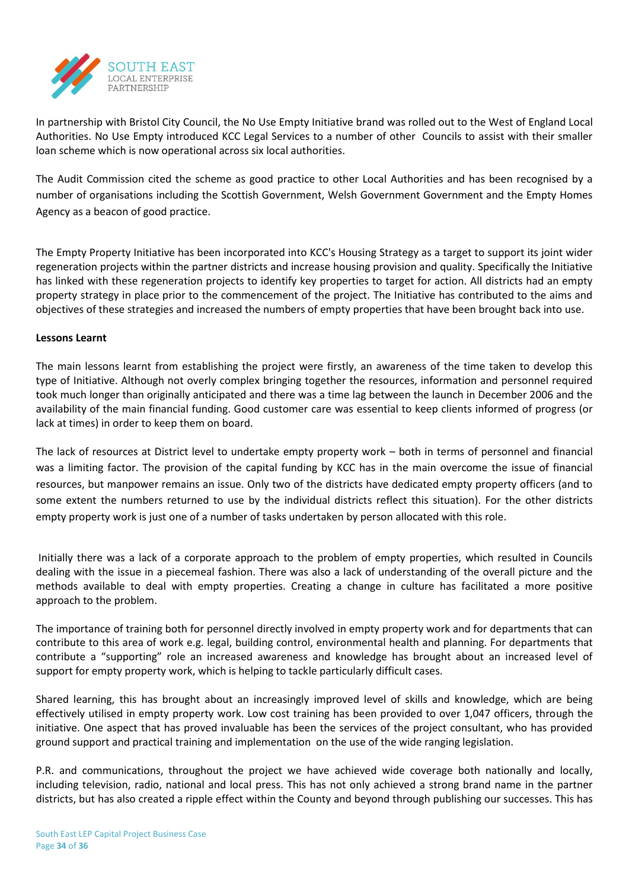

In partnership with Bristol City Council, the No Use Empty Initiative brand was rolled out to the West of England Local Authorities. No Use Empty introduced KCC Legal Services to a number of other Councils to assist with their smaller loan scheme which is now operational across six local authorities.

The Audit Commission cited the scheme as good practice to other Local Authorities and has been recognised by a number of organisations including the Scottish Government, Welsh Government Government and the Empty Homes Agency as a beacon of good practice.

The Empty Property Initiative has been incorporated into KCC's Housing Strategy as a target to support its joint wider regeneration projects within the partner districts and increase housing provision and quality. Specifically the Initiative has linked with these regeneration projects to identify key properties to target for action. All districts had an empty property strategy in place prior to the commencement of the project. The Initiative has contributed to the aims and objectives of these strategies and increased the numbers of empty properties that have been brought back into use.

# **Lessons Learnt**

The main lessons learnt from establishing the project were firstly, an awareness of the time taken to develop this type of Initiative. Although not overly complex bringing together the resources, information and personnel required took much longer than originally anticipated and there was a time lag between the launch in December 2006 and the availability of the main financial funding. Good customer care was essential to keep clients informed of progress (or lack at times) in order to keep them on board.

The lack of resources at District level to undertake empty property work – both in terms of personnel and financial was a limiting factor. The provision of the capital funding by KCC has in the main overcome the issue of financial resources, but manpower remains an issue. Only two of the districts have dedicated empty property officers (and to some extent the numbers returned to use by the individual districts reflect this situation). For the other districts empty property work is just one of a number of tasks undertaken by person allocated with this role.

Initially there was a lack of a corporate approach to the problem of empty properties, which resulted in Councils dealing with the issue in a piecemeal fashion. There was also a lack of understanding of the overall picture and the methods available to deal with empty properties. Creating a change in culture has facilitated a more positive approach to the problem.

The importance of training both for personnel directly involved in empty property work and for departments that can contribute to this area of work e.g. legal, building control, environmental health and planning. For departments that contribute a "supporting" role an increased awareness and knowledge has brought about an increased level of support for empty property work, which is helping to tackle particularly difficult cases.

Shared learning, this has brought about an increasingly improved level of skills and knowledge, which are being effectively utilised in empty property work. Low cost training has been provided to over 1,047 officers, through the initiative. One aspect that has proved invaluable has been the services of the project consultant, who has provided ground support and practical training and implementation on the use of the wide ranging legislation.

P.R. and communications, throughout the project we have achieved wide coverage both nationally and locally, including television, radio, national and local press. This has not only achieved a strong brand name in the partner districts, but has also created a ripple effect within the County and beyond through publishing our successes. This has